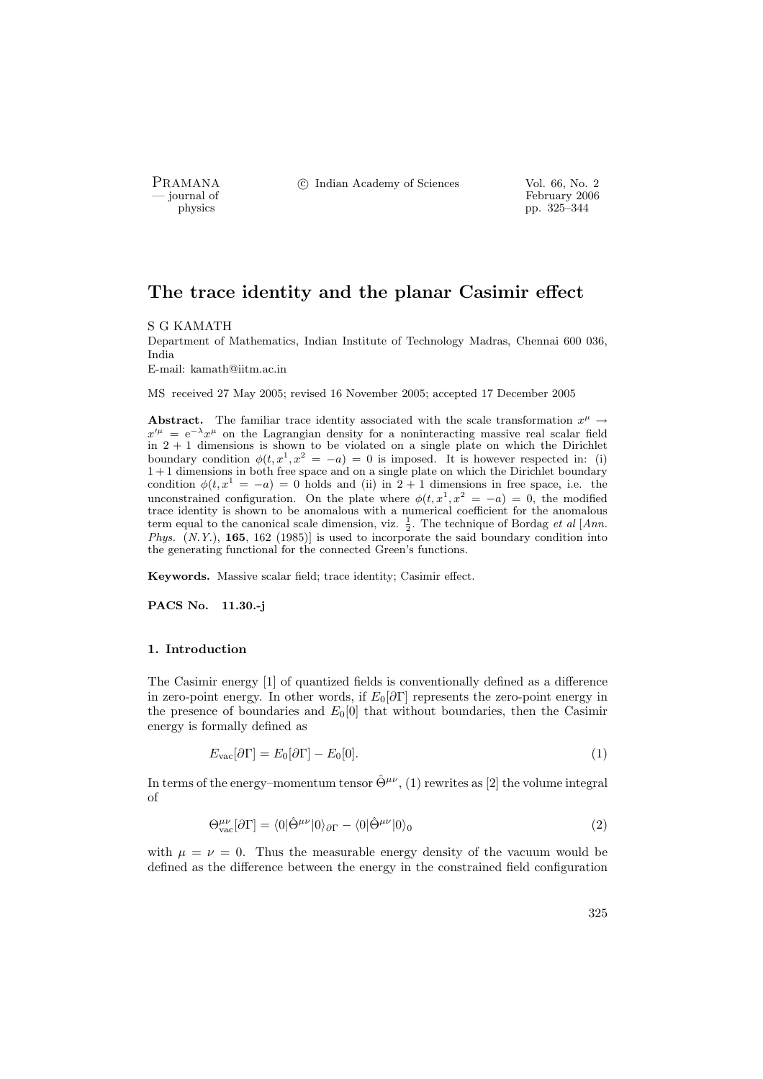PRAMANA °c Indian Academy of Sciences Vol. 66, No. 2

physics<br>
and the settlement of February 2006<br>
pp. 325–344 pp. 325–344

# The trace identity and the planar Casimir effect

#### S G KAMATH

Department of Mathematics, Indian Institute of Technology Madras, Chennai 600 036, India

E-mail: kamath@iitm.ac.in

MS received 27 May 2005; revised 16 November 2005; accepted 17 December 2005

Abstract. The familiar trace identity associated with the scale transformation  $x^{\mu} \rightarrow$  $x'^{\mu} = e^{-\lambda} x^{\mu}$  on the Lagrangian density for a noninteracting massive real scalar field in  $2 + 1$  dimensions is shown to be violated on a single plate on which the Dirichlet boundary condition  $\phi(t, x^1, x^2 = -a) = 0$  is imposed. It is however respected in: (i)  $1+1$  dimensions in both free space and on a single plate on which the Dirichlet boundary condition  $\phi(t, x^1 = -a) = 0$  holds and (ii) in 2 + 1 dimensions in free space, i.e. the unconstrained configuration. On the plate where  $\phi(t, x^1, x^2 = -a) = 0$ , the modified trace identity is shown to be anomalous with a numerical coefficient for the anomalous term equal to the canonical scale dimension, viz.  $\frac{1}{2}$ . The technique of Bordag *et al* [*Ann. Phys.*  $(N.Y.)$ , **165**, 162 (1985)] is used to incorporate the said boundary condition into the generating functional for the connected Green's functions.

Keywords. Massive scalar field; trace identity; Casimir effect.

PACS No. 11.30.-j

#### 1. Introduction

The Casimir energy [1] of quantized fields is conventionally defined as a difference in zero-point energy. In other words, if  $E_0[\partial\Gamma]$  represents the zero-point energy in the presence of boundaries and  $E_0[0]$  that without boundaries, then the Casimir energy is formally defined as

$$
E_{\rm vac}[\partial \Gamma] = E_0[\partial \Gamma] - E_0[0]. \tag{1}
$$

In terms of the energy–momentum tensor  $\hat{\Theta}^{\mu\nu}$ , (1) rewrites as [2] the volume integral of

$$
\Theta_{\text{vac}}^{\mu\nu}[\partial\Gamma] = \langle 0|\hat{\Theta}^{\mu\nu}|0\rangle_{\partial\Gamma} - \langle 0|\hat{\Theta}^{\mu\nu}|0\rangle_0 \tag{2}
$$

with  $\mu = \nu = 0$ . Thus the measurable energy density of the vacuum would be defined as the difference between the energy in the constrained field configuration

325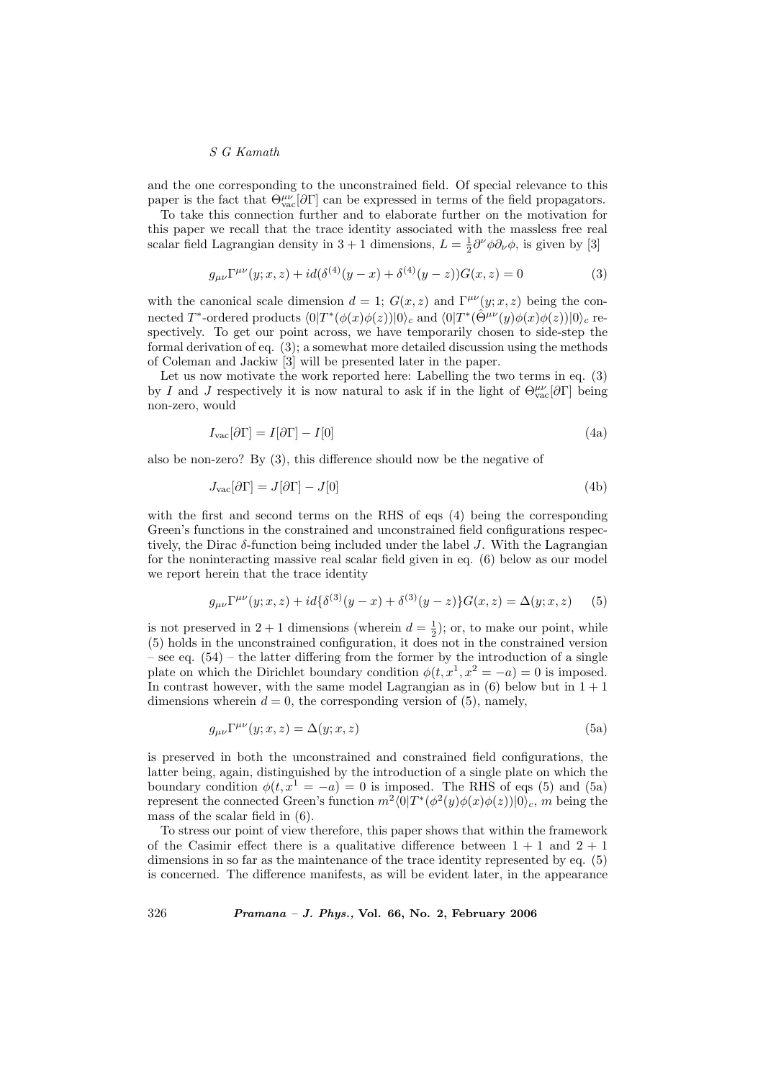and the one corresponding to the unconstrained field. Of special relevance to this paper is the fact that  $\Theta_{\text{vac}}^{\mu\nu}[\partial \Gamma]$  can be expressed in terms of the field propagators.

To take this connection further and to elaborate further on the motivation for this paper we recall that the trace identity associated with the massless free real scalar field Lagrangian density in 3 + 1 dimensions,  $L = \frac{1}{2} \partial^{\nu} \phi \partial_{\nu} \phi$ , is given by [3]

$$
g_{\mu\nu}\Gamma^{\mu\nu}(y;x,z) + id(\delta^{(4)}(y-x) + \delta^{(4)}(y-z))G(x,z) = 0
$$
\n(3)

with the canonical scale dimension  $d = 1$ ;  $G(x, z)$  and  $\Gamma^{\mu\nu}(y; x, z)$  being the connected T<sup>\*</sup>-ordered products  $\langle 0|T^*(\phi(x)\phi(z))|0\rangle_c$  and  $\langle 0|T^*(\hat{\Theta}^{\mu\nu}(y)\phi(x)\phi(z))|0\rangle_c$  respectively. To get our point across, we have temporarily chosen to side-step the formal derivation of eq. (3); a somewhat more detailed discussion using the methods of Coleman and Jackiw [3] will be presented later in the paper.

Let us now motivate the work reported here: Labelling the two terms in eq. (3) by I and J respectively it is now natural to ask if in the light of  $\Theta_{\text{vac}}^{\mu\nu}[\partial\Gamma]$  being non-zero, would

$$
I_{\text{vac}}[\partial \Gamma] = I[\partial \Gamma] - I[0] \tag{4a}
$$

also be non-zero? By (3), this difference should now be the negative of

$$
J_{\text{vac}}[\partial \Gamma] = J[\partial \Gamma] - J[0] \tag{4b}
$$

with the first and second terms on the RHS of eqs (4) being the corresponding Green's functions in the constrained and unconstrained field configurations respectively, the Dirac  $\delta$ -function being included under the label J. With the Lagrangian for the noninteracting massive real scalar field given in eq. (6) below as our model we report herein that the trace identity

$$
g_{\mu\nu}\Gamma^{\mu\nu}(y;x,z) + id\{\delta^{(3)}(y-x) + \delta^{(3)}(y-z)\}G(x,z) = \Delta(y;x,z) \tag{5}
$$

is not preserved in  $2+1$  dimensions (wherein  $d=\frac{1}{2}$ ); or, to make our point, while (5) holds in the unconstrained configuration, it does not in the constrained version – see eq.  $(54)$  – the latter differing from the former by the introduction of a single plate on which the Dirichlet boundary condition  $\phi(t, x^1, x^2 = -a) = 0$  is imposed. In contrast however, with the same model Lagrangian as in  $(6)$  below but in  $1 + 1$ dimensions wherein  $d = 0$ , the corresponding version of (5), namely,

$$
g_{\mu\nu}\Gamma^{\mu\nu}(y;x,z) = \Delta(y;x,z)
$$
\n(5a)

is preserved in both the unconstrained and constrained field configurations, the latter being, again, distinguished by the introduction of a single plate on which the boundary condition  $\phi(t, x^1 = -a) = 0$  is imposed. The RHS of eqs (5) and (5a) represent the connected Green's function  $m^2 \langle 0|T^*(\phi^2(y)\phi(x)\phi(z))|0\rangle_c$ , m being the mass of the scalar field in (6).

To stress our point of view therefore, this paper shows that within the framework of the Casimir effect there is a qualitative difference between  $1 + 1$  and  $2 + 1$ dimensions in so far as the maintenance of the trace identity represented by eq. (5) is concerned. The difference manifests, as will be evident later, in the appearance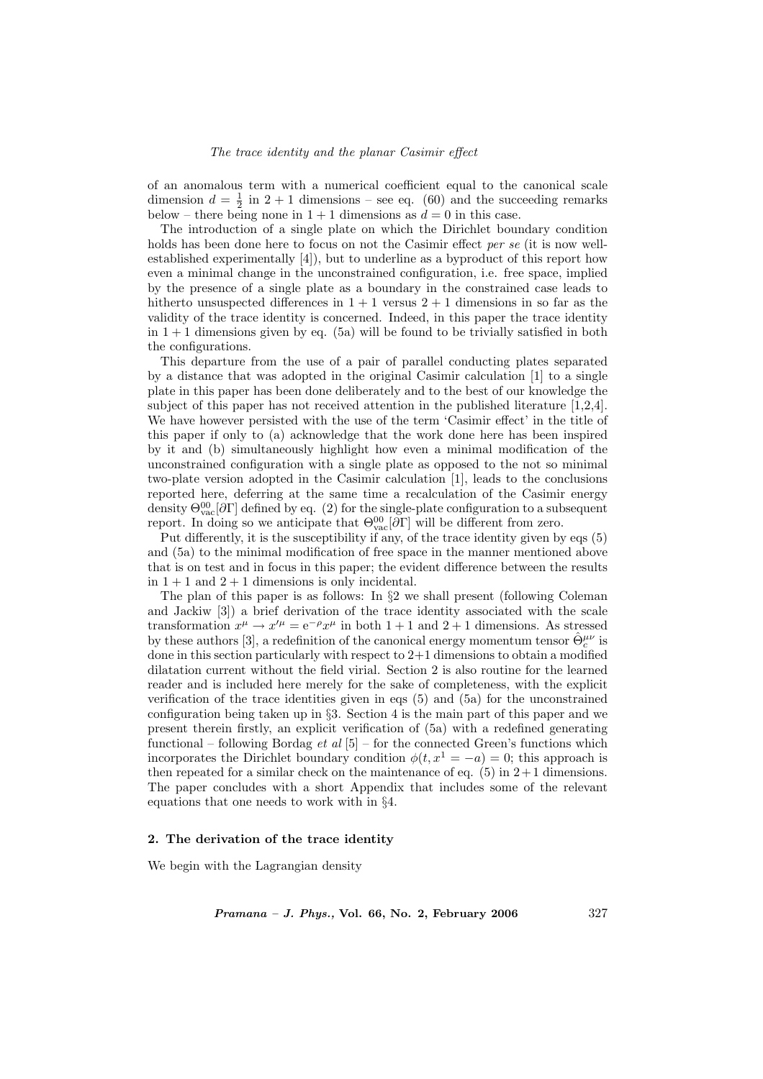of an anomalous term with a numerical coefficient equal to the canonical scale dimension  $d = \frac{1}{2}$  in  $2 + 1$  dimensions – see eq. (60) and the succeeding remarks below – there being none in  $1 + 1$  dimensions as  $d = 0$  in this case.

The introduction of a single plate on which the Dirichlet boundary condition holds has been done here to focus on not the Casimir effect per se (it is now wellestablished experimentally [4]), but to underline as a byproduct of this report how even a minimal change in the unconstrained configuration, i.e. free space, implied by the presence of a single plate as a boundary in the constrained case leads to hitherto unsuspected differences in  $1 + 1$  versus  $2 + 1$  dimensions in so far as the validity of the trace identity is concerned. Indeed, in this paper the trace identity in  $1 + 1$  dimensions given by eq. (5a) will be found to be trivially satisfied in both the configurations.

This departure from the use of a pair of parallel conducting plates separated by a distance that was adopted in the original Casimir calculation [1] to a single plate in this paper has been done deliberately and to the best of our knowledge the subject of this paper has not received attention in the published literature [1,2,4]. We have however persisted with the use of the term 'Casimir effect' in the title of this paper if only to (a) acknowledge that the work done here has been inspired by it and (b) simultaneously highlight how even a minimal modification of the unconstrained configuration with a single plate as opposed to the not so minimal two-plate version adopted in the Casimir calculation [1], leads to the conclusions reported here, deferring at the same time a recalculation of the Casimir energy density  $\Theta_{\text{vac}}^{00}[\partial \Gamma]$  defined by eq. (2) for the single-plate configuration to a subsequent report. In doing so we anticipate that  $\Theta_{\text{vac}}^{00}[\partial\Gamma]$  will be different from zero.

Put differently, it is the susceptibility if any, of the trace identity given by eqs (5) and (5a) to the minimal modification of free space in the manner mentioned above that is on test and in focus in this paper; the evident difference between the results in  $1 + 1$  and  $2 + 1$  dimensions is only incidental.

The plan of this paper is as follows: In §2 we shall present (following Coleman and Jackiw [3]) a brief derivation of the trace identity associated with the scale transformation  $x^{\mu} \to x'^{\mu} = e^{-\rho} x^{\mu}$  in both  $1+1$  and  $2+1$  dimensions. As stressed by these authors [3], a redefinition of the canonical energy momentum tensor  $\hat{\Theta}^{\mu\nu}_c$  is done in this section particularly with respect to  $2+1$  dimensions to obtain a modified dilatation current without the field virial. Section 2 is also routine for the learned reader and is included here merely for the sake of completeness, with the explicit verification of the trace identities given in eqs (5) and (5a) for the unconstrained configuration being taken up in §3. Section 4 is the main part of this paper and we present therein firstly, an explicit verification of (5a) with a redefined generating functional – following Bordag *et al*  $[5]$  – for the connected Green's functions which incorporates the Dirichlet boundary condition  $\phi(t, x^1 = -a) = 0$ ; this approach is then repeated for a similar check on the maintenance of eq.  $(5)$  in  $2+1$  dimensions. The paper concludes with a short Appendix that includes some of the relevant equations that one needs to work with in §4.

#### 2. The derivation of the trace identity

We begin with the Lagrangian density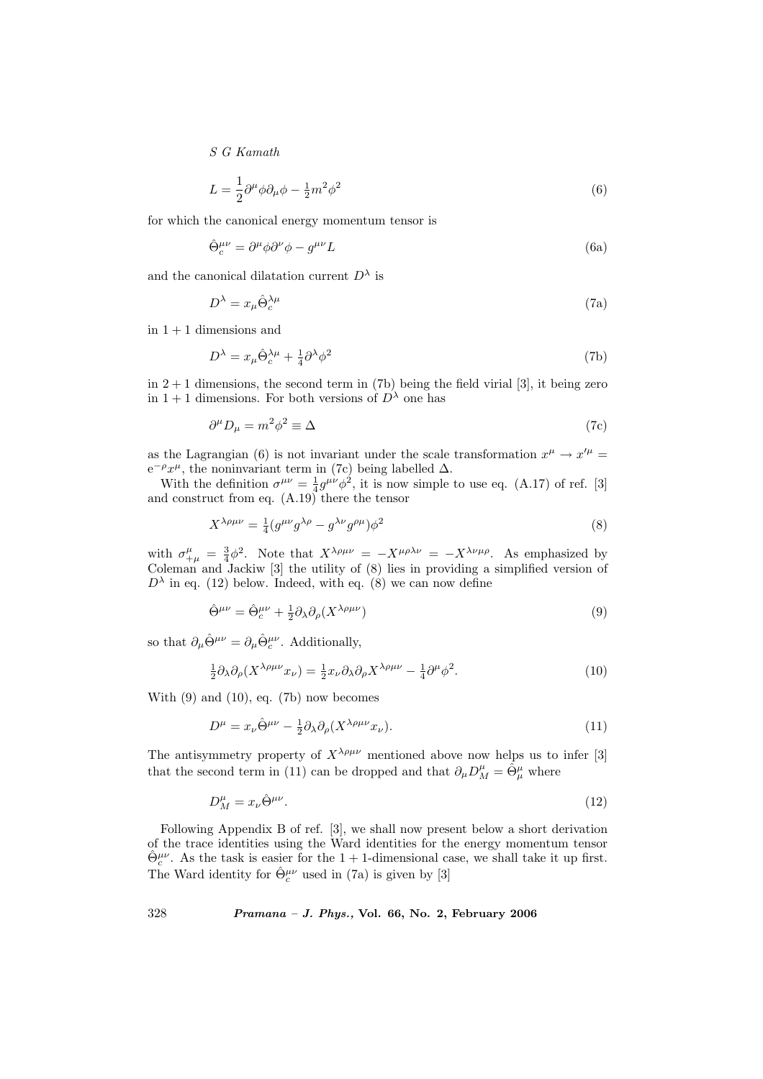$$
L = \frac{1}{2}\partial^{\mu}\phi\partial_{\mu}\phi - \frac{1}{2}m^{2}\phi^{2}
$$
\n(6)

for which the canonical energy momentum tensor is

$$
\hat{\Theta}^{\mu\nu}_c = \partial^\mu \phi \partial^\nu \phi - g^{\mu\nu} L \tag{6a}
$$

and the canonical dilatation current  $D^{\lambda}$  is

$$
D^{\lambda} = x_{\mu} \hat{\Theta}_{c}^{\lambda \mu} \tag{7a}
$$

in  $1 + 1$  dimensions and

$$
D^{\lambda} = x_{\mu} \hat{\Theta}_{c}^{\lambda \mu} + \frac{1}{4} \partial^{\lambda} \phi^{2}
$$
 (7b)

in  $2+1$  dimensions, the second term in (7b) being the field virial [3], it being zero in 1 + 1 dimensions. For both versions of  $D^{\lambda}$  one has

$$
\partial^{\mu}D_{\mu} = m^2 \phi^2 \equiv \Delta \tag{7c}
$$

as the Lagrangian (6) is not invariant under the scale transformation  $x^{\mu} \to x'^{\mu} =$  $e^{-\rho}x^{\mu}$ , the noninvariant term in (7c) being labelled  $\Delta$ .

With the definition  $\sigma^{\mu\nu} = \frac{1}{4} g^{\mu\nu} \phi^2$ , it is now simple to use eq. (A.17) of ref. [3] and construct from eq. (A.19) there the tensor

$$
X^{\lambda\rho\mu\nu} = \frac{1}{4} (g^{\mu\nu} g^{\lambda\rho} - g^{\lambda\nu} g^{\rho\mu}) \phi^2
$$
\n(8)

with  $\sigma_{+\mu}^{\mu} = \frac{3}{4}\phi^2$ . Note that  $X^{\lambda\rho\mu\nu} = -X^{\mu\rho\lambda\nu} = -X^{\lambda\nu\mu\rho}$ . As emphasized by Coleman and Jackiw [3] the utility of (8) lies in providing a simplified version of  $D^{\lambda}$  in eq. (12) below. Indeed, with eq. (8) we can now define

$$
\hat{\Theta}^{\mu\nu} = \hat{\Theta}^{\mu\nu}_c + \frac{1}{2} \partial_{\lambda} \partial_{\rho} (X^{\lambda \rho \mu \nu}) \tag{9}
$$

so that  $\partial_{\mu} \hat{\Theta}^{\mu\nu} = \partial_{\mu} \hat{\Theta}^{\mu\nu}_c$ . Additionally,

$$
\frac{1}{2}\partial_{\lambda}\partial_{\rho}(X^{\lambda\rho\mu\nu}x_{\nu}) = \frac{1}{2}x_{\nu}\partial_{\lambda}\partial_{\rho}X^{\lambda\rho\mu\nu} - \frac{1}{4}\partial^{\mu}\phi^{2}.
$$
\n(10)

With  $(9)$  and  $(10)$ , eq.  $(7b)$  now becomes

$$
D^{\mu} = x_{\nu} \hat{\Theta}^{\mu\nu} - \frac{1}{2} \partial_{\lambda} \partial_{\rho} (X^{\lambda \rho \mu \nu} x_{\nu}). \tag{11}
$$

The antisymmetry property of  $X^{\lambda\rho\mu\nu}$  mentioned above now helps us to infer [3] that the second term in (11) can be dropped and that  $\partial_{\mu}D^{\mu}_{M} = \hat{\Theta}^{\mu}_{\mu}$  where

$$
D_M^{\mu} = x_{\nu} \hat{\Theta}^{\mu \nu}.
$$
\n<sup>(12)</sup>

Following Appendix B of ref. [3], we shall now present below a short derivation of the trace identities using the Ward identities for the energy momentum tensor  $\hat{\Theta}^{\mu\nu}_{c}$ . As the task is easier for the 1 + 1-dimensional case, we shall take it up first. The Ward identity for  $\hat{\Theta}^{\mu\nu}_c$  used in (7a) is given by [3]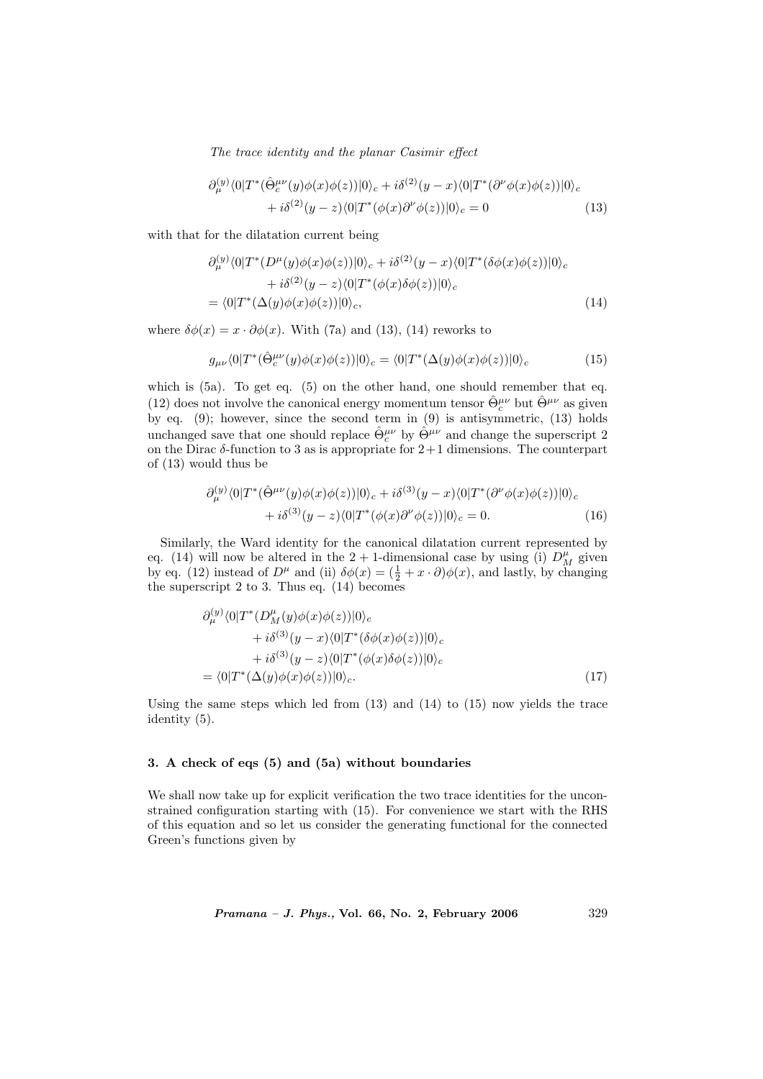$$
\partial_{\mu}^{(y)} \langle 0|T^*(\hat{\Theta}_{c}^{\mu\nu}(y)\phi(x)\phi(z))|0\rangle_c + i\delta^{(2)}(y-x)\langle 0|T^*(\partial^{\nu}\phi(x)\phi(z))|0\rangle_c + i\delta^{(2)}(y-z)\langle 0|T^*(\phi(x)\partial^{\nu}\phi(z))|0\rangle_c = 0
$$
\n(13)

with that for the dilatation current being

$$
\partial_{\mu}^{(y)} \langle 0|T^*(D^{\mu}(y)\phi(x)\phi(z))|0\rangle_c + i\delta^{(2)}(y-x) \langle 0|T^*(\delta\phi(x)\phi(z))|0\rangle_c \n+ i\delta^{(2)}(y-z) \langle 0|T^*(\phi(x)\delta\phi(z))|0\rangle_c \n= \langle 0|T^*(\Delta(y)\phi(x)\phi(z))|0\rangle_c,
$$
\n(14)

where  $\delta\phi(x) = x \cdot \partial\phi(x)$ . With (7a) and (13), (14) reworks to

$$
g_{\mu\nu}\langle 0|T^*(\hat{\Theta}^{\mu\nu}_c(y)\phi(x)\phi(z))|0\rangle_c = \langle 0|T^*(\Delta(y)\phi(x)\phi(z))|0\rangle_c \tag{15}
$$

which is  $(5a)$ . To get eq.  $(5)$  on the other hand, one should remember that eq. (12) does not involve the canonical energy momentum tensor  $\hat{\Theta}^{\mu\nu}_c$  but  $\hat{\Theta}^{\mu\nu}$  as given by eq. (9); however, since the second term in (9) is antisymmetric, (13) holds unchanged save that one should replace  $\hat{\Theta}^{\mu\nu}_c$  by  $\hat{\Theta}^{\mu\nu}$  and change the superscript 2 on the Dirac  $\delta$ -function to 3 as is appropriate for  $2+1$  dimensions. The counterpart of (13) would thus be

$$
\partial_{\mu}^{(y)} \langle 0|T^*(\hat{\Theta}^{\mu\nu}(y)\phi(x)\phi(z))|0\rangle_c + i\delta^{(3)}(y-x)\langle 0|T^*(\partial^{\nu}\phi(x)\phi(z))|0\rangle_c + i\delta^{(3)}(y-z)\langle 0|T^*(\phi(x)\partial^{\nu}\phi(z))|0\rangle_c = 0.
$$
\n(16)

Similarly, the Ward identity for the canonical dilatation current represented by eq. (14) will now be altered in the 2 + 1-dimensional case by using (i)  $D_M^{\mu}$  given by eq. (12) instead of  $D^{\mu}$  and (ii)  $\delta\phi(x) = (\frac{1}{2} + x \cdot \partial)\phi(x)$ , and lastly, by changing the superscript 2 to 3. Thus eq. (14) becomes

$$
\partial_{\mu}^{(y)} \langle 0|T^*(D_M^{\mu}(y)\phi(x)\phi(z))|0\rangle_c \n+ i\delta^{(3)}(y-x) \langle 0|T^*(\delta\phi(x)\phi(z))|0\rangle_c \n+ i\delta^{(3)}(y-z) \langle 0|T^*(\phi(x)\delta\phi(z))|0\rangle_c \n= \langle 0|T^*(\Delta(y)\phi(x)\phi(z))|0\rangle_c.
$$
\n(17)

Using the same steps which led from  $(13)$  and  $(14)$  to  $(15)$  now yields the trace identity (5).

## 3. A check of eqs (5) and (5a) without boundaries

We shall now take up for explicit verification the two trace identities for the unconstrained configuration starting with (15). For convenience we start with the RHS of this equation and so let us consider the generating functional for the connected Green's functions given by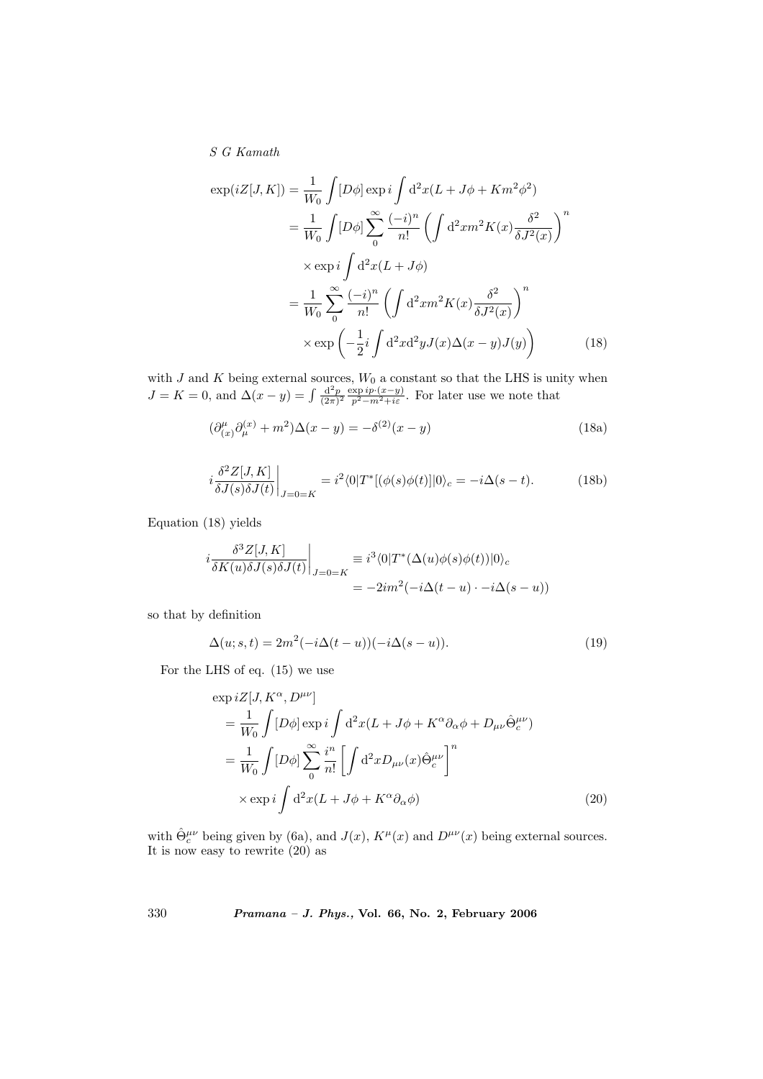$$
\exp(iZ[J,K]) = \frac{1}{W_0} \int [D\phi] \exp i \int d^2x (L + J\phi + Km^2\phi^2)
$$
  
\n
$$
= \frac{1}{W_0} \int [D\phi] \sum_{0}^{\infty} \frac{(-i)^n}{n!} \left( \int d^2x m^2 K(x) \frac{\delta^2}{\delta J^2(x)} \right)^n
$$
  
\n
$$
\times \exp i \int d^2x (L + J\phi)
$$
  
\n
$$
= \frac{1}{W_0} \sum_{0}^{\infty} \frac{(-i)^n}{n!} \left( \int d^2x m^2 K(x) \frac{\delta^2}{\delta J^2(x)} \right)^n
$$
  
\n
$$
\times \exp \left( -\frac{1}{2} i \int d^2x d^2y J(x) \Delta(x - y) J(y) \right)
$$
(18)

with J and K being external sources,  $W_0$  a constant so that the LHS is unity when  $J = K = 0$ , and  $\Delta(x - y) = \int \frac{d^2 p}{(2\pi)^2} \frac{\exp i p \cdot (x - y)}{p^2 - m^2 + i\varepsilon}$ . For later use we note that

$$
(\partial_{(x)}^{\mu}\partial_{\mu}^{(x)} + m^2)\Delta(x - y) = -\delta^{(2)}(x - y)
$$
\n(18a)

$$
i\frac{\delta^2 Z[J,K]}{\delta J(s)\delta J(t)}\bigg|_{J=0=K} = i^2 \langle 0|T^*[(\phi(s)\phi(t)]|0\rangle_c = -i\Delta(s-t). \tag{18b}
$$

Equation (18) yields

$$
i\frac{\delta^3 Z[J,K]}{\delta K(u)\delta J(s)\delta J(t)}\bigg|_{J=0=K} \equiv i^3 \langle 0|T^*(\Delta(u)\phi(s)\phi(t))|0\rangle_c
$$
  
= 
$$
-2im^2(-i\Delta(t-u)\cdot -i\Delta(s-u))
$$

so that by definition

$$
\Delta(u;s,t) = 2m^2(-i\Delta(t-u))(-i\Delta(s-u)).
$$
\n(19)

For the LHS of eq. (15) we use

$$
\exp iZ[J, K^{\alpha}, D^{\mu\nu}]
$$
\n
$$
= \frac{1}{W_0} \int [D\phi] \exp i \int d^2x (L + J\phi + K^{\alpha}\partial_{\alpha}\phi + D_{\mu\nu}\hat{\Theta}^{\mu\nu}_c)
$$
\n
$$
= \frac{1}{W_0} \int [D\phi] \sum_{0}^{\infty} \frac{i^n}{n!} \left[ \int d^2x D_{\mu\nu}(x) \hat{\Theta}^{\mu\nu}_c \right]^n
$$
\n
$$
\times \exp i \int d^2x (L + J\phi + K^{\alpha}\partial_{\alpha}\phi) \tag{20}
$$

with  $\hat{\Theta}^{\mu\nu}_c$  being given by (6a), and  $J(x)$ ,  $K^{\mu}(x)$  and  $D^{\mu\nu}(x)$  being external sources. It is now easy to rewrite (20) as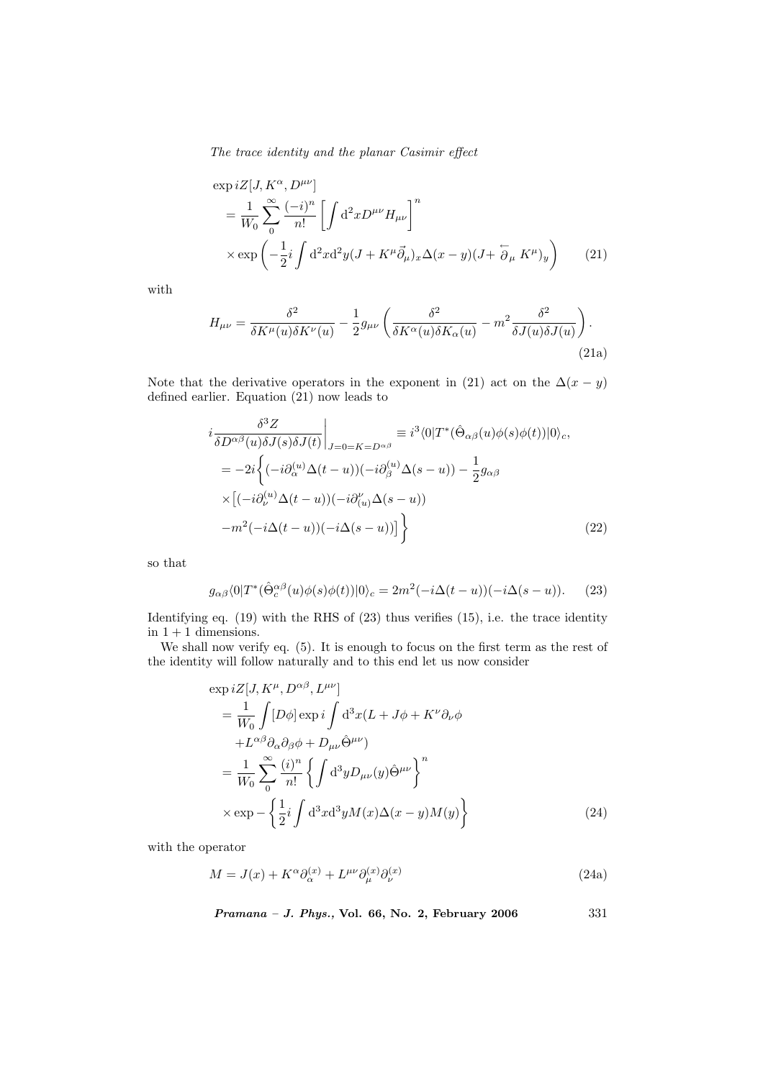$$
\exp iZ[J, K^{\alpha}, D^{\mu\nu}]
$$
\n
$$
= \frac{1}{W_0} \sum_{0}^{\infty} \frac{(-i)^n}{n!} \left[ \int d^2x D^{\mu\nu} H_{\mu\nu} \right]^n
$$
\n
$$
\times \exp \left( -\frac{1}{2} i \int d^2x d^2y (J + K^{\mu} \vec{\partial}_{\mu})_x \Delta(x - y) (J + \overleftarrow{\partial}_{\mu} K^{\mu})_y \right) \tag{21}
$$

with

$$
H_{\mu\nu} = \frac{\delta^2}{\delta K^{\mu}(u)\delta K^{\nu}(u)} - \frac{1}{2}g_{\mu\nu}\left(\frac{\delta^2}{\delta K^{\alpha}(u)\delta K_{\alpha}(u)} - m^2\frac{\delta^2}{\delta J(u)\delta J(u)}\right).
$$
\n(21a)

Note that the derivative operators in the exponent in (21) act on the  $\Delta(x - y)$ defined earlier. Equation (21) now leads to

$$
i\frac{\delta^3 Z}{\delta D^{\alpha\beta}(u)\delta J(s)\delta J(t)}\Big|_{J=0=K=D^{\alpha\beta}} \equiv i^3 \langle 0|T^*(\hat{\Theta}_{\alpha\beta}(u)\phi(s)\phi(t))|0\rangle_c,
$$
  
\n
$$
= -2i \Big\{ (-i\partial_{\alpha}^{(u)}\Delta(t-u))(-i\partial_{\beta}^{(u)}\Delta(s-u)) - \frac{1}{2}g_{\alpha\beta}
$$
  
\n
$$
\times [(-i\partial_{\nu}^{(u)}\Delta(t-u))(-i\partial_{(u)}^{\nu}\Delta(s-u)) - m^2(-i\Delta(t-u))(-i\Delta(s-u)) ] \Big\}
$$
(22)

so that

$$
g_{\alpha\beta}\langle 0|T^*(\hat{\Theta}_c^{\alpha\beta}(u)\phi(s)\phi(t))|0\rangle_c = 2m^2(-i\Delta(t-u))(-i\Delta(s-u)).\tag{23}
$$

Identifying eq. (19) with the RHS of (23) thus verifies (15), i.e. the trace identity in  $1 + 1$  dimensions.

We shall now verify eq. (5). It is enough to focus on the first term as the rest of the identity will follow naturally and to this end let us now consider

$$
\exp iZ[J, K^{\mu}, D^{\alpha\beta}, L^{\mu\nu}]
$$
\n
$$
= \frac{1}{W_0} \int [D\phi] \exp i \int d^3x (L + J\phi + K^{\nu} \partial_{\nu} \phi + L^{\alpha\beta} \partial_{\alpha} \partial_{\beta} \phi + D_{\mu\nu} \hat{\Theta}^{\mu\nu})
$$
\n
$$
= \frac{1}{W_0} \sum_{0}^{\infty} \frac{(i)^n}{n!} \left\{ \int d^3y D_{\mu\nu}(y) \hat{\Theta}^{\mu\nu} \right\}^n
$$
\n
$$
\times \exp - \left\{ \frac{1}{2} i \int d^3x d^3y M(x) \Delta(x - y) M(y) \right\}
$$
\n(24)

with the operator

$$
M = J(x) + K^{\alpha} \partial_{\alpha}^{(x)} + L^{\mu\nu} \partial_{\mu}^{(x)} \partial_{\nu}^{(x)}
$$
\n(24a)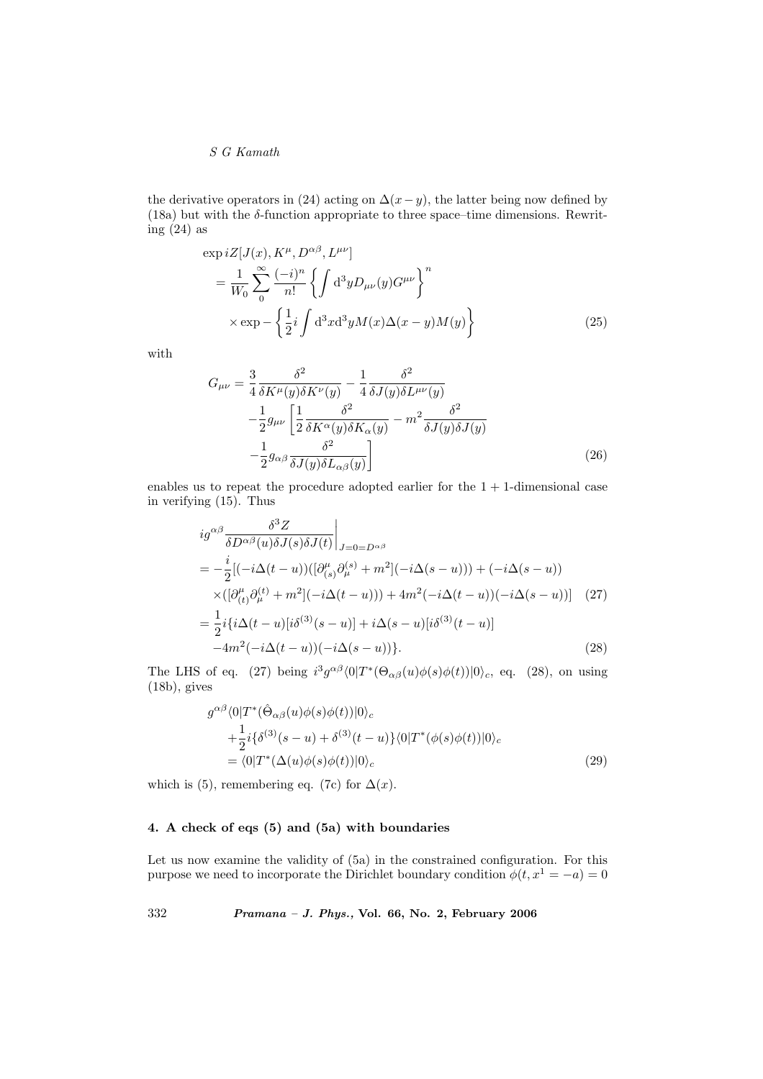the derivative operators in (24) acting on  $\Delta(x-y)$ , the latter being now defined by (18a) but with the  $\delta$ -function appropriate to three space–time dimensions. Rewriting (24) as

$$
\exp iZ[J(x), K^{\mu}, D^{\alpha\beta}, L^{\mu\nu}]
$$
\n
$$
= \frac{1}{W_0} \sum_{0}^{\infty} \frac{(-i)^n}{n!} \left\{ \int d^3y D_{\mu\nu}(y) G^{\mu\nu} \right\}^n
$$
\n
$$
\times \exp - \left\{ \frac{1}{2} i \int d^3x d^3y M(x) \Delta(x - y) M(y) \right\}
$$
\n(25)

with

$$
G_{\mu\nu} = \frac{3}{4} \frac{\delta^2}{\delta K^\mu(y)\delta K^\nu(y)} - \frac{1}{4} \frac{\delta^2}{\delta J(y)\delta L^{\mu\nu}(y)} -\frac{1}{2} g_{\mu\nu} \left[ \frac{1}{2} \frac{\delta^2}{\delta K^\alpha(y)\delta K_\alpha(y)} - m^2 \frac{\delta^2}{\delta J(y)\delta J(y)} \right] -\frac{1}{2} g_{\alpha\beta} \frac{\delta^2}{\delta J(y)\delta L_{\alpha\beta}(y)} \right]
$$
(26)

enables us to repeat the procedure adopted earlier for the  $1 + 1$ -dimensional case in verifying (15). Thus

$$
ig^{\alpha\beta} \frac{\delta^3 Z}{\delta D^{\alpha\beta}(u)\delta J(s)\delta J(t)}\Big|_{J=0=D^{\alpha\beta}}
$$
  
= 
$$
-\frac{i}{2}[(-i\Delta(t-u))([\partial_{(s)}^{\mu}\partial_{\mu}^{(s)}+m^2](-i\Delta(s-u)))+(-i\Delta(s-u))
$$
  

$$
\times([\partial_{(t)}^{\mu}\partial_{\mu}^{(t)}+m^2](-i\Delta(t-u)))+4m^2(-i\Delta(t-u))(-i\Delta(s-u))]
$$
 (27)  
= 
$$
\frac{1}{2}i\{i\Delta(t-u)[i\delta^{(3)}(s-u)]+i\Delta(s-u)[i\delta^{(3)}(t-u)]
$$
  

$$
-4m^2(-i\Delta(t-u))(-i\Delta(s-u))\}.
$$
 (28)

The LHS of eq. (27) being  $i^3 g^{\alpha\beta} \langle 0|T^*(\Theta_{\alpha\beta}(u)\phi(s)\phi(t))|0\rangle_c$ , eq. (28), on using (18b), gives

$$
g^{\alpha\beta}\langle 0|T^*(\hat{\Theta}_{\alpha\beta}(u)\phi(s)\phi(t))|0\rangle_c
$$
  
 
$$
+\frac{1}{2}i\{\delta^{(3)}(s-u)+\delta^{(3)}(t-u)\}\langle 0|T^*(\phi(s)\phi(t))|0\rangle_c
$$
  
=  $\langle 0|T^*(\Delta(u)\phi(s)\phi(t))|0\rangle_c$  (29)

which is (5), remembering eq. (7c) for  $\Delta(x)$ .

## 4. A check of eqs (5) and (5a) with boundaries

Let us now examine the validity of  $(5a)$  in the constrained configuration. For this purpose we need to incorporate the Dirichlet boundary condition  $\phi(t, x^1 = -a) = 0$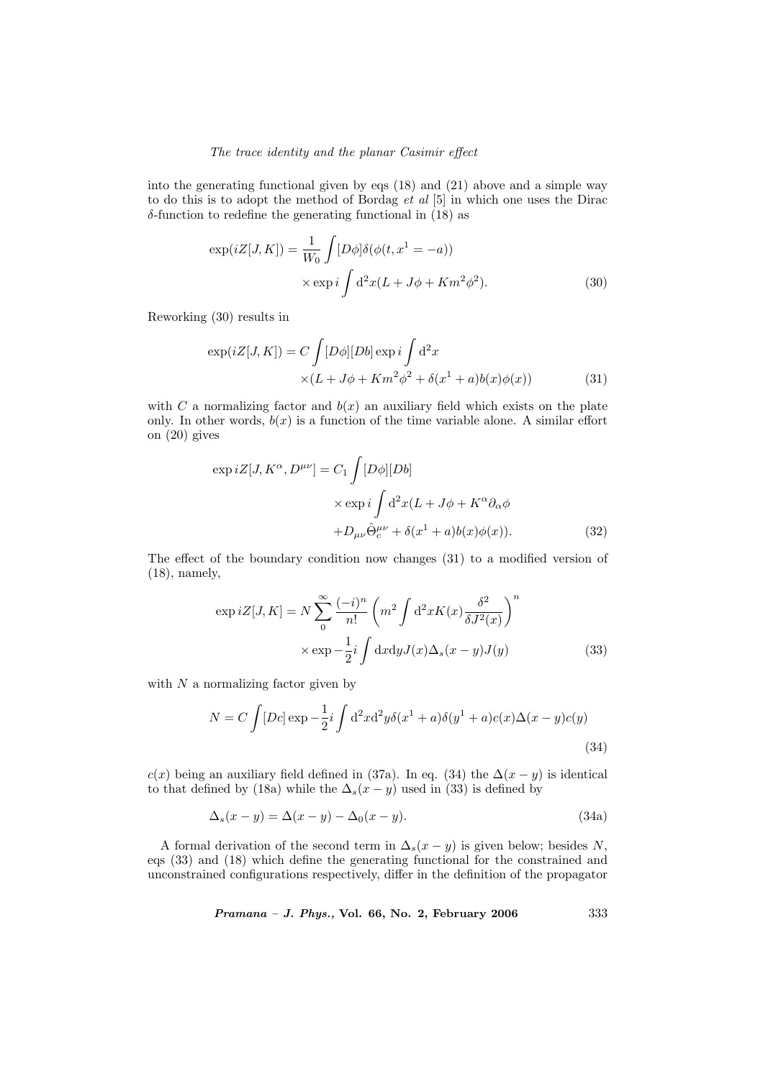into the generating functional given by eqs (18) and (21) above and a simple way to do this is to adopt the method of Bordag *et al* [5] in which one uses the Dirac  $\delta$ -function to redefine the generating functional in (18) as

$$
\exp(iZ[J,K]) = \frac{1}{W_0} \int [D\phi] \delta(\phi(t, x^1 = -a))
$$

$$
\times \exp i \int d^2x (L + J\phi + Km^2\phi^2).
$$
 (30)

Reworking (30) results in

$$
\exp(iZ[J,K]) = C \int [D\phi][Db] \exp i \int d^2x
$$
  
 
$$
\times (L + J\phi + Km^2\phi^2 + \delta(x^1 + a)b(x)\phi(x))
$$
 (31)

with C a normalizing factor and  $b(x)$  an auxiliary field which exists on the plate only. In other words,  $b(x)$  is a function of the time variable alone. A similar effort on (20) gives

$$
\exp iZ[J, K^{\alpha}, D^{\mu\nu}] = C_1 \int [D\phi][Db]
$$
  
 
$$
\times \exp i \int d^2x (L + J\phi + K^{\alpha}\partial_{\alpha}\phi
$$
  
 
$$
+ D_{\mu\nu}\hat{\Theta}^{\mu\nu}_c + \delta(x^1 + a)b(x)\phi(x)). \tag{32}
$$

The effect of the boundary condition now changes (31) to a modified version of (18), namely,

$$
\exp iZ[J,K] = N \sum_{0}^{\infty} \frac{(-i)^n}{n!} \left( m^2 \int d^2x K(x) \frac{\delta^2}{\delta J^2(x)} \right)^n
$$

$$
\times \exp{-\frac{1}{2}i \int dx dy J(x) \Delta_s(x-y) J(y)}
$$
(33)

with  $N$  a normalizing factor given by

$$
N = C \int [Dc] \exp \left(-\frac{1}{2}i \int d^2x d^2y \delta(x^1 + a) \delta(y^1 + a)c(x) \Delta(x - y)c(y)\right)
$$
\n(34)

c(x) being an auxiliary field defined in (37a). In eq. (34) the  $\Delta(x - y)$  is identical to that defined by (18a) while the  $\Delta_s(x-y)$  used in (33) is defined by

$$
\Delta_s(x - y) = \Delta(x - y) - \Delta_0(x - y). \tag{34a}
$$

A formal derivation of the second term in  $\Delta_s(x-y)$  is given below; besides N, eqs (33) and (18) which define the generating functional for the constrained and unconstrained configurations respectively, differ in the definition of the propagator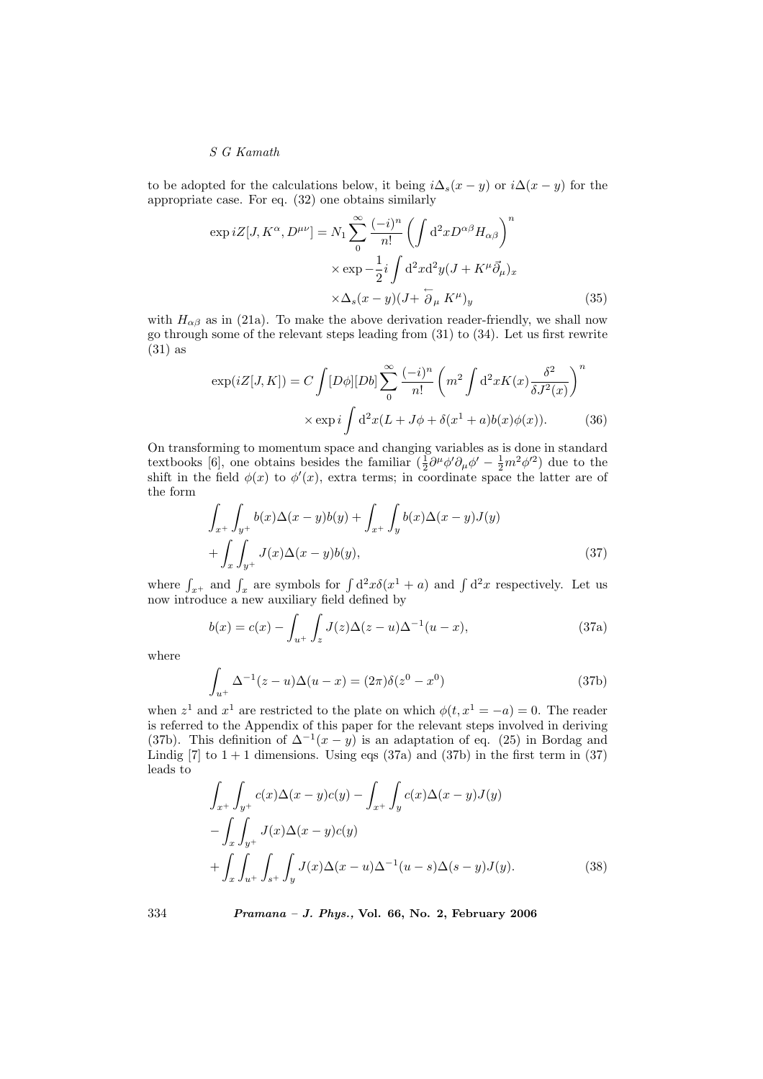to be adopted for the calculations below, it being  $i\Delta_s(x-y)$  or  $i\Delta(x-y)$  for the appropriate case. For eq. (32) one obtains similarly

$$
\exp iZ[J, K^{\alpha}, D^{\mu\nu}] = N_1 \sum_{0}^{\infty} \frac{(-i)^n}{n!} \left( \int d^2x D^{\alpha\beta} H_{\alpha\beta} \right)^n
$$

$$
\times \exp -\frac{1}{2} i \int d^2x d^2y (J + K^{\mu} \vec{\partial}_{\mu})_x
$$

$$
\times \Delta_s (x - y)(J + \overleftarrow{\partial}_{\mu} K^{\mu})_y \tag{35}
$$

with  $H_{\alpha\beta}$  as in (21a). To make the above derivation reader-friendly, we shall now go through some of the relevant steps leading from (31) to (34). Let us first rewrite (31) as

$$
\exp(iZ[J,K]) = C \int [D\phi][Db] \sum_{0}^{\infty} \frac{(-i)^n}{n!} \left( m^2 \int d^2x K(x) \frac{\delta^2}{\delta J^2(x)} \right)^n
$$

$$
\times \exp i \int d^2x (L + J\phi + \delta(x^1 + a)b(x)\phi(x)). \tag{36}
$$

On transforming to momentum space and changing variables as is done in standard textbooks [6], one obtains besides the familiar  $(\frac{1}{2}\partial^{\mu}\phi'\partial_{\mu}\phi' - \frac{1}{2}m^2\phi'^2)$  due to the shift in the field  $\phi(x)$  to  $\phi'(x)$ , extra terms; in coordinate space the latter are of the form

$$
\int_{x^+} \int_{y^+} b(x) \Delta(x - y) b(y) + \int_{x^+} \int_y b(x) \Delta(x - y) J(y) + \int_x \int_{y^+} J(x) \Delta(x - y) b(y),
$$
\n(37)

where  $\int_{x+}$  and  $\int_x$  are symbols for  $\int d^2x \delta(x^1 + a)$  and  $\int d^2x$  respectively. Let us now introduce a new auxiliary field defined by

$$
b(x) = c(x) - \int_{u^+} \int_z J(z) \Delta(z - u) \Delta^{-1}(u - x), \tag{37a}
$$

where

$$
\int_{u^{+}} \Delta^{-1}(z - u)\Delta(u - x) = (2\pi)\delta(z^{0} - x^{0})
$$
\n(37b)

when  $z^1$  and  $x^1$  are restricted to the plate on which  $\phi(t, x^1 = -a) = 0$ . The reader is referred to the Appendix of this paper for the relevant steps involved in deriving (37b). This definition of  $\Delta^{-1}(x-y)$  is an adaptation of eq. (25) in Bordag and Lindig  $[7]$  to  $1 + 1$  dimensions. Using eqs  $(37a)$  and  $(37b)$  in the first term in  $(37)$ leads to

$$
\int_{x^+} \int_{y^+} c(x) \Delta(x - y) c(y) - \int_{x^+} \int_y c(x) \Delta(x - y) J(y)
$$

$$
- \int_x \int_{y^+} J(x) \Delta(x - y) c(y)
$$

$$
+ \int_x \int_{u^+} \int_{s^+} \int_y J(x) \Delta(x - u) \Delta^{-1}(u - s) \Delta(s - y) J(y).
$$
(38)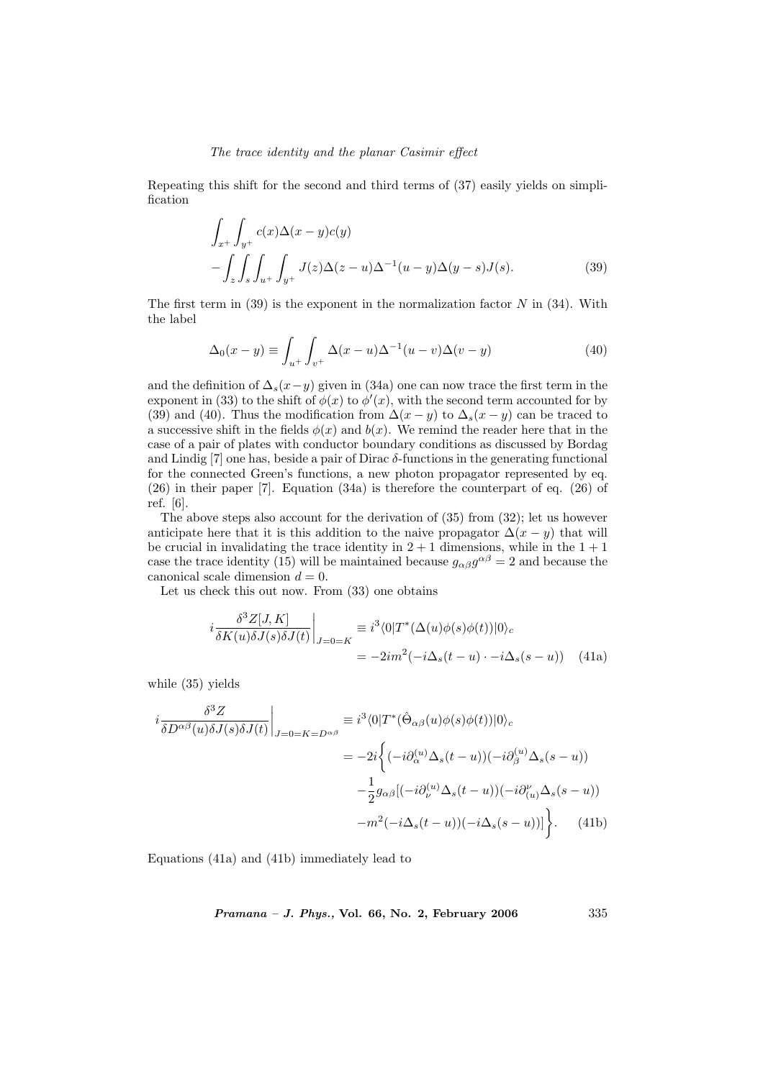Repeating this shift for the second and third terms of (37) easily yields on simplification

$$
\int_{x^+} \int_{y^+} c(x) \Delta(x - y) c(y)
$$
  
 
$$
- \int_z \int_s \int_{u^+} \int_{y^+} J(z) \Delta(z - u) \Delta^{-1}(u - y) \Delta(y - s) J(s).
$$
 (39)

The first term in  $(39)$  is the exponent in the normalization factor N in  $(34)$ . With the label

$$
\Delta_0(x-y) \equiv \int_{u^+} \int_{v^+} \Delta(x-u) \Delta^{-1}(u-v) \Delta(v-y) \tag{40}
$$

and the definition of  $\Delta_s(x-y)$  given in (34a) one can now trace the first term in the exponent in (33) to the shift of  $\phi(x)$  to  $\phi'(x)$ , with the second term accounted for by (39) and (40). Thus the modification from  $\Delta(x-y)$  to  $\Delta_s(x-y)$  can be traced to a successive shift in the fields  $\phi(x)$  and  $b(x)$ . We remind the reader here that in the case of a pair of plates with conductor boundary conditions as discussed by Bordag and Lindig [7] one has, beside a pair of Dirac δ-functions in the generating functional for the connected Green's functions, a new photon propagator represented by eq. (26) in their paper [7]. Equation (34a) is therefore the counterpart of eq. (26) of ref. [6].

The above steps also account for the derivation of (35) from (32); let us however anticipate here that it is this addition to the naive propagator  $\Delta(x - y)$  that will be crucial in invalidating the trace identity in  $2 + 1$  dimensions, while in the  $1 + 1$ case the trace identity (15) will be maintained because  $g_{\alpha\beta}g^{\alpha\beta} = 2$  and because the canonical scale dimension  $d = 0$ .

Let us check this out now. From (33) one obtains

$$
i\frac{\delta^3 Z[J,K]}{\delta K(u)\delta J(s)\delta J(t)}\Big|_{J=0=K} \equiv i^3 \langle 0|T^*(\Delta(u)\phi(s)\phi(t))|0\rangle_c
$$
  
= 
$$
-2im^2(-i\Delta_s(t-u)\cdot -i\Delta_s(s-u))
$$
 (41a)

while (35) yields

$$
i\frac{\delta^3 Z}{\delta D^{\alpha\beta}(u)\delta J(s)\delta J(t)}\Big|_{J=0=K=D^{\alpha\beta}} \equiv i^3 \langle 0|T^*(\hat{\Theta}_{\alpha\beta}(u)\phi(s)\phi(t))|0\rangle_c
$$
  

$$
= -2i \Big\{ (-i\partial_{\alpha}^{(u)}\Delta_s(t-u))(-i\partial_{\beta}^{(u)}\Delta_s(s-u))
$$

$$
-\frac{1}{2}g_{\alpha\beta}[(-i\partial_{\nu}^{(u)}\Delta_s(t-u))(-i\partial_{(u)}^{u}\Delta_s(s-u))
$$

$$
-m^2(-i\Delta_s(t-u))(-i\Delta_s(s-u))\Big\}. \tag{41b}
$$

Equations (41a) and (41b) immediately lead to

Pramana – J. Phys., Vol. 66, No. 2, February 2006 335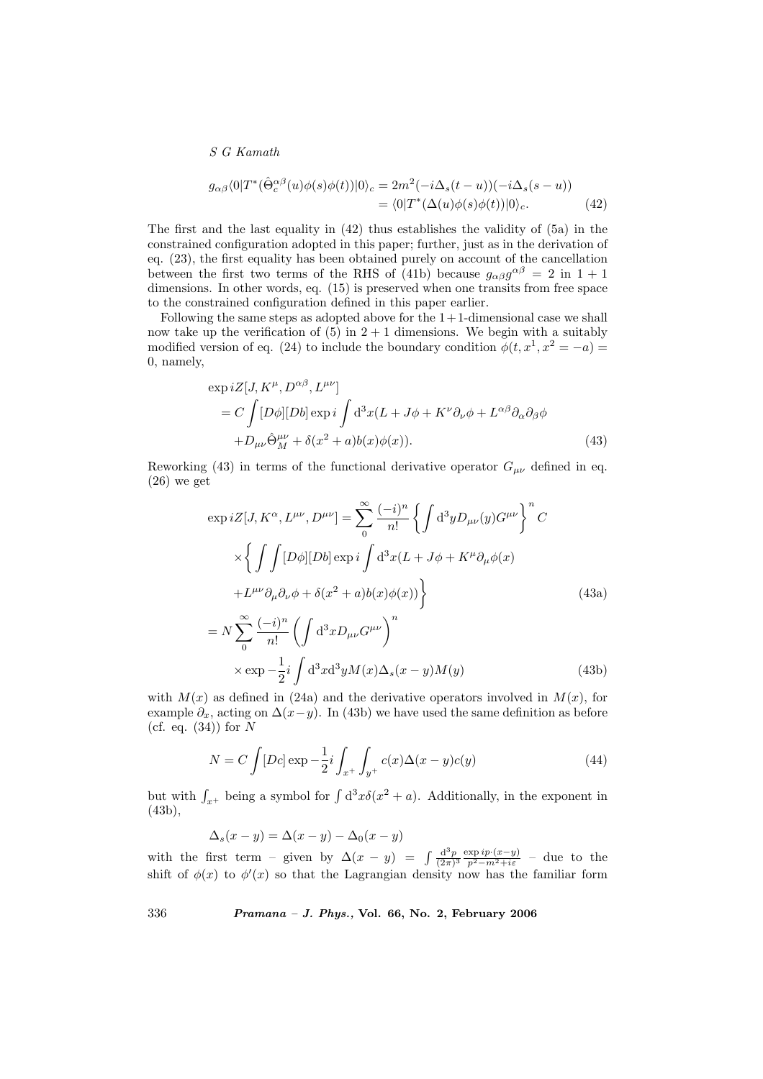$$
g_{\alpha\beta}\langle 0|T^*(\hat{\Theta}_c^{\alpha\beta}(u)\phi(s)\phi(t))|0\rangle_c = 2m^2(-i\Delta_s(t-u))(-i\Delta_s(s-u))
$$
  
=  $\langle 0|T^*(\Delta(u)\phi(s)\phi(t))|0\rangle_c.$  (42)

The first and the last equality in  $(42)$  thus establishes the validity of  $(5a)$  in the constrained configuration adopted in this paper; further, just as in the derivation of eq. (23), the first equality has been obtained purely on account of the cancellation between the first two terms of the RHS of (41b) because  $g_{\alpha\beta}g^{\alpha\beta} = 2$  in  $1+1$ dimensions. In other words, eq. (15) is preserved when one transits from free space to the constrained configuration defined in this paper earlier.

Following the same steps as adopted above for the  $1+1$ -dimensional case we shall now take up the verification of  $(5)$  in  $2 + 1$  dimensions. We begin with a suitably modified version of eq. (24) to include the boundary condition  $\phi(t, x^1, x^2 = -a)$ 0, namely,

$$
\exp iZ[J, K^{\mu}, D^{\alpha\beta}, L^{\mu\nu}]
$$
  
=  $C \int [D\phi][Db] \exp i \int d^3x (L + J\phi + K^{\nu}\partial_{\nu}\phi + L^{\alpha\beta}\partial_{\alpha}\partial_{\beta}\phi$   
+ $D_{\mu\nu}\hat{\Theta}^{\mu\nu}_M + \delta(x^2 + a)b(x)\phi(x)).$  (43)

Reworking (43) in terms of the functional derivative operator  $G_{\mu\nu}$  defined in eq.  $(26)$  we get

$$
\exp iZ[J, K^{\alpha}, L^{\mu\nu}, D^{\mu\nu}] = \sum_{0}^{\infty} \frac{(-i)^{n}}{n!} \left\{ \int d^{3}y D_{\mu\nu}(y) G^{\mu\nu} \right\}^{n} C
$$
  
\n
$$
\times \left\{ \int \int [D\phi][Db] \exp i \int d^{3}x (L + J\phi + K^{\mu}\partial_{\mu}\phi(x)) + L^{\mu\nu}\partial_{\mu}\partial_{\nu}\phi + \delta(x^{2} + a)b(x)\phi(x)) \right\}
$$
(43a)  
\n
$$
= N \sum_{n=0}^{\infty} \frac{(-i)^{n}}{n!} \left( \int d^{3}x D_{\mu\nu} G^{\mu\nu} \right)^{n}
$$

$$
\times \exp\left(-\frac{1}{2}i \int d^3x d^3y M(x) \Delta_s(x-y) M(y)\right)
$$
\n(43b)

with  $M(x)$  as defined in (24a) and the derivative operators involved in  $M(x)$ , for example  $\partial_x$ , acting on  $\Delta(x-y)$ . In (43b) we have used the same definition as before (cf. eq.  $(34)$ ) for N

$$
N = C \int [Dc] \exp \left(-\frac{1}{2}i \int_{x^+} \int_{y^+} c(x) \Delta(x - y) c(y) \right) \tag{44}
$$

but with  $\int_{x^+}$  being a symbol for  $\int d^3x \delta(x^2 + a)$ . Additionally, in the exponent in (43b),

$$
\Delta_s(x - y) = \Delta(x - y) - \Delta_0(x - y)
$$

with the first term – given by  $\Delta(x - y) = \int \frac{d^3 p}{(2\pi)^3} \frac{\exp i p \cdot (x - y)}{p^2 - m^2 + i \varepsilon}$  – due to the shift of  $\phi(x)$  to  $\phi'(x)$  so that the Lagrangian density now has the familiar form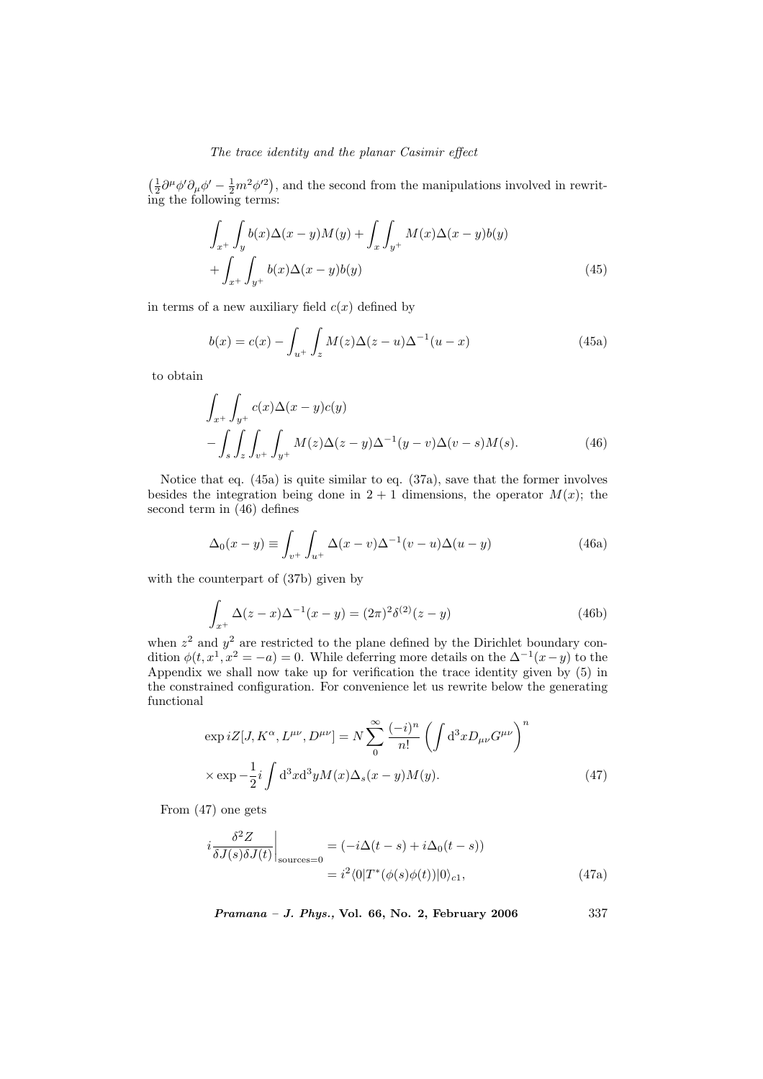$\left(\frac{1}{2}\partial^{\mu}\phi^{\prime}\partial_{\mu}\phi^{\prime}-\frac{1}{2}m^{2}\phi^{\prime 2}\right)$ , and the second from the manipulations involved in rewriting the following terms:

$$
\int_{x^+} \int_y b(x) \Delta(x - y) M(y) + \int_x \int_{y^+} M(x) \Delta(x - y) b(y)
$$
  
+ 
$$
\int_{x^+} \int_{y^+} b(x) \Delta(x - y) b(y)
$$
 (45)

in terms of a new auxiliary field  $c(x)$  defined by

$$
b(x) = c(x) - \int_{u^+} \int_z M(z) \Delta(z - u) \Delta^{-1}(u - x)
$$
 (45a)

to obtain

$$
\int_{x^{+}} \int_{y^{+}} c(x) \Delta(x - y) c(y) \n- \int_{s} \int_{z} \int_{v^{+}} \int_{y^{+}} M(z) \Delta(z - y) \Delta^{-1}(y - v) \Delta(v - s) M(s).
$$
\n(46)

Notice that eq. (45a) is quite similar to eq. (37a), save that the former involves besides the integration being done in  $2 + 1$  dimensions, the operator  $M(x)$ ; the second term in (46) defines

$$
\Delta_0(x-y) \equiv \int_{v^+} \int_{u^+} \Delta(x-v) \Delta^{-1}(v-u) \Delta(u-y) \tag{46a}
$$

with the counterpart of (37b) given by

$$
\int_{x^{+}} \Delta(z - x) \Delta^{-1}(x - y) = (2\pi)^{2} \delta^{(2)}(z - y)
$$
\n(46b)

when  $z^2$  and  $y^2$  are restricted to the plane defined by the Dirichlet boundary condition  $\phi(t, x^1, x^2 = -a) = 0$ . While deferring more details on the  $\Delta^{-1}(x-y)$  to the Appendix we shall now take up for verification the trace identity given by (5) in the constrained configuration. For convenience let us rewrite below the generating functional

$$
\exp iZ[J, K^{\alpha}, L^{\mu\nu}, D^{\mu\nu}] = N \sum_{0}^{\infty} \frac{(-i)^n}{n!} \left( \int d^3x D_{\mu\nu} G^{\mu\nu} \right)^n
$$

$$
\times \exp{-\frac{1}{2}i \int d^3x d^3y M(x) \Delta_s(x-y) M(y)}.
$$
(47)

From (47) one gets

$$
i\frac{\delta^2 Z}{\delta J(s)\delta J(t)}\Big|_{\text{sources}=0} = (-i\Delta(t-s) + i\Delta_0(t-s))
$$
  
=  $i^2 \langle 0|T^*(\phi(s)\phi(t))|0\rangle_{c1},$  (47a)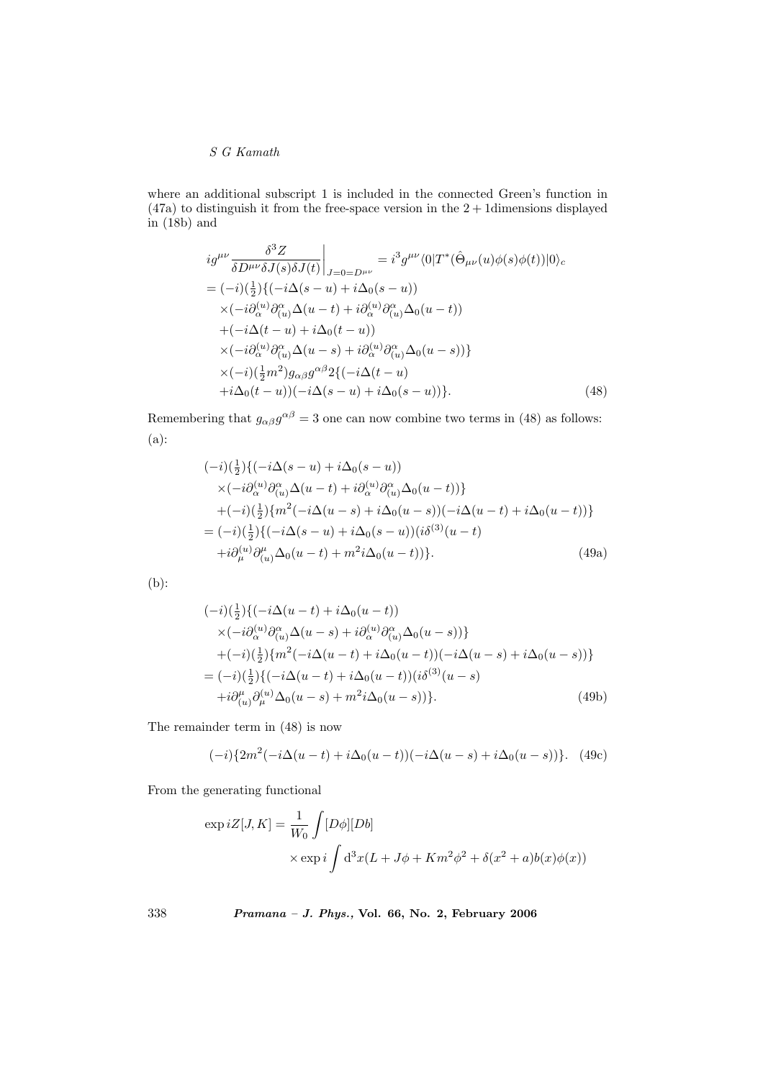where an additional subscript 1 is included in the connected Green's function in  $(47a)$  to distinguish it from the free-space version in the  $2 + 1$  dimensions displayed in (18b) and

$$
ig^{\mu\nu}\frac{\delta^3 Z}{\delta D^{\mu\nu}\delta J(s)\delta J(t)}\Big|_{J=0=D^{\mu\nu}} = i^3 g^{\mu\nu} \langle 0|T^*(\hat{\Theta}_{\mu\nu}(u)\phi(s)\phi(t))|0\rangle_c
$$
  
\n
$$
= (-i)(\frac{1}{2})\{(-i\Delta(s-u) + i\Delta_0(s-u))\}\times (-i\partial_{\alpha}^{(u)}\partial_{(u)}^{\alpha}\Delta(u-t) + i\partial_{\alpha}^{(u)}\partial_{(u)}^{\alpha}\Delta_0(u-t))\n+ (-i\Delta(t-u) + i\Delta_0(t-u))\times (-i\partial_{\alpha}^{(u)}\partial_{(u)}^{\alpha}\Delta(u-s) + i\partial_{\alpha}^{(u)}\partial_{(u)}^{\alpha}\Delta_0(u-s))\}\times (-i)(\frac{1}{2}m^2)g_{\alpha\beta}g^{\alpha\beta}2\{(-i\Delta(t-u) + i\Delta_0(s-u))\}. \tag{48}
$$

Remembering that  $g_{\alpha\beta}g^{\alpha\beta} = 3$  one can now combine two terms in (48) as follows: (a):

$$
(-i)(\frac{1}{2})\{(-i\Delta(s-u) + i\Delta_0(s-u))
$$
  
\n
$$
\times (-i\partial_{\alpha}^{(u)}\partial_{(u)}^{\alpha}\Delta(u-t) + i\partial_{\alpha}^{(u)}\partial_{(u)}^{\alpha}\Delta_0(u-t))\}
$$
  
\n
$$
+(-i)(\frac{1}{2})\{m^2(-i\Delta(u-s) + i\Delta_0(u-s))(-i\Delta(u-t) + i\Delta_0(u-t))\}
$$
  
\n
$$
= (-i)(\frac{1}{2})\{(-i\Delta(s-u) + i\Delta_0(s-u))\}i\delta^{(3)}(u-t)
$$
  
\n
$$
+i\partial_{\mu}^{(u)}\partial_{(u)}^{\mu}\Delta_0(u-t) + m^2i\Delta_0(u-t))\}.
$$
\n(49a)

(b):

$$
(-i)(\frac{1}{2})\{(-i\Delta(u-t) + i\Delta_0(u-t))
$$
  
\n
$$
\times (-i\partial_{\alpha}^{(u)}\partial_{(u)}^{\alpha}\Delta(u-s) + i\partial_{\alpha}^{(u)}\partial_{(u)}^{\alpha}\Delta_0(u-s))\}
$$
  
\n
$$
+(-i)(\frac{1}{2})\{m^2(-i\Delta(u-t) + i\Delta_0(u-t))(-i\Delta(u-s) + i\Delta_0(u-s))\}
$$
  
\n
$$
= (-i)(\frac{1}{2})\{(-i\Delta(u-t) + i\Delta_0(u-t))\}i\delta^{(3)}(u-s)
$$
  
\n
$$
+i\partial_{(u)}^{(\mu)}\partial_{\mu}^{(u)}\Delta_0(u-s) + m^2i\Delta_0(u-s)\}.
$$
\n(49b)

The remainder term in (48) is now

$$
(-i)\{2m^2(-i\Delta(u-t)+i\Delta_0(u-t))(-i\Delta(u-s)+i\Delta_0(u-s))\}.
$$
 (49c)

From the generating functional

$$
\exp iZ[J, K] = \frac{1}{W_0} \int [D\phi][Db]
$$
  
 
$$
\times \exp i \int d^3x (L + J\phi + Km^2\phi^2 + \delta(x^2 + a)b(x)\phi(x))
$$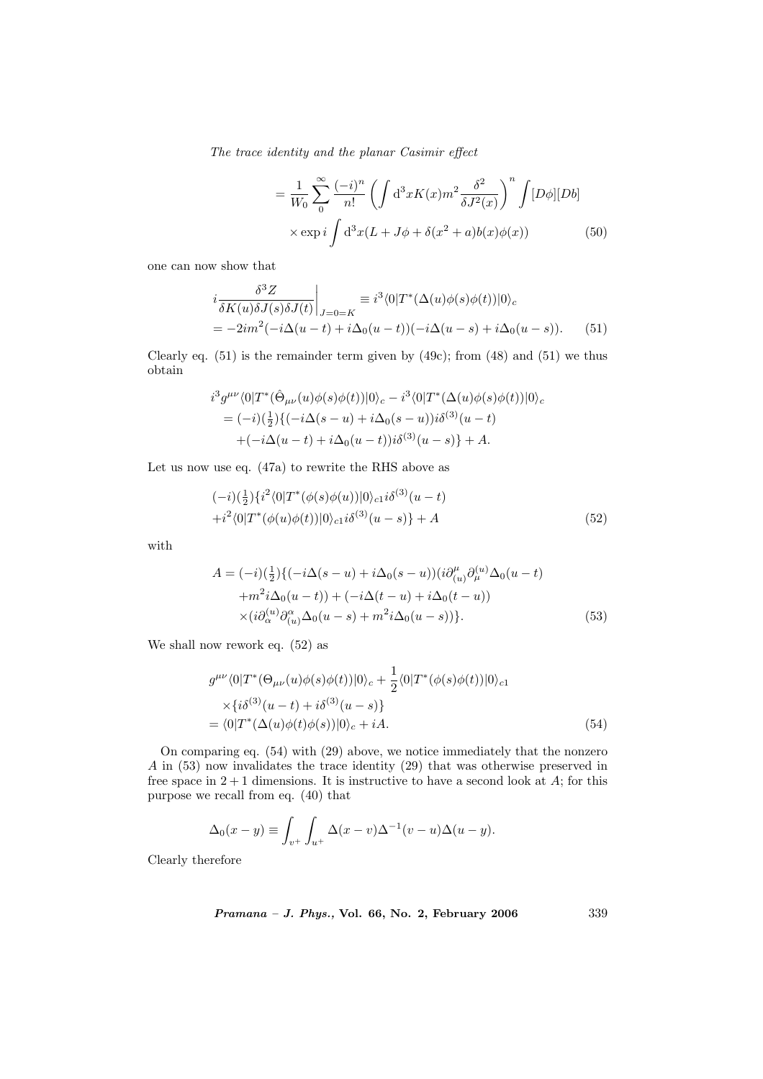$$
= \frac{1}{W_0} \sum_{0}^{\infty} \frac{(-i)^n}{n!} \left( \int d^3x K(x) m^2 \frac{\delta^2}{\delta J^2(x)} \right)^n \int [D\phi][Db] \times \exp i \int d^3x (L + J\phi + \delta(x^2 + a)b(x)\phi(x)) \tag{50}
$$

one can now show that

$$
i\frac{\delta^3 Z}{\delta K(u)\delta J(s)\delta J(t)}\Big|_{J=0=K} \equiv i^3 \langle 0|T^*(\Delta(u)\phi(s)\phi(t))|0\rangle_c
$$
  
= 
$$
-2im^2(-i\Delta(u-t)+i\Delta_0(u-t))(-i\Delta(u-s)+i\Delta_0(u-s)).
$$
 (51)

Clearly eq.  $(51)$  is the remainder term given by  $(49c)$ ; from  $(48)$  and  $(51)$  we thus obtain

$$
i^{3}g^{\mu\nu}\langle 0|T^{*}(\hat{\Theta}_{\mu\nu}(u)\phi(s)\phi(t))|0\rangle_{c} - i^{3}\langle 0|T^{*}(\Delta(u)\phi(s)\phi(t))|0\rangle_{c}
$$
  
=  $(-i)(\frac{1}{2})\{(-i\Delta(s-u)+i\Delta_{0}(s-u))i\delta^{(3)}(u-t) + (-i\Delta(u-t)+i\Delta_{0}(u-t))i\delta^{(3)}(u-s)\} + A.$ 

Let us now use eq. (47a) to rewrite the RHS above as

$$
(-i)(\frac{1}{2})\{i^2\langle 0|T^*(\phi(s)\phi(u))|0\rangle_{c1}i\delta^{(3)}(u-t) +i^2\langle 0|T^*(\phi(u)\phi(t))|0\rangle_{c1}i\delta^{(3)}(u-s)\} + A
$$
(52)

with

$$
A = (-i)\left(\frac{1}{2}\right)\left\{(-i\Delta(s-u) + i\Delta_0(s-u))\left(i\partial_{(u)}^\mu \partial_\mu^{(u)} \Delta_0(u-t)\right) + m^2 i\Delta_0(u-t)\right\} + (-i\Delta(t-u) + i\Delta_0(t-u))
$$
  
 
$$
\times \left(i\partial_{(\alpha)}^{(u)}\partial_{(u)}^\alpha \Delta_0(u-s) + m^2 i\Delta_0(u-s)\right)\}.
$$
 (53)

We shall now rework eq. (52) as

$$
g^{\mu\nu}\langle 0|T^*(\Theta_{\mu\nu}(u)\phi(s)\phi(t))|0\rangle_c + \frac{1}{2}\langle 0|T^*(\phi(s)\phi(t))|0\rangle_{c1}
$$
  
\n
$$
\times{\lbrace i\delta^{(3)}(u-t) + i\delta^{(3)}(u-s)\rbrace}
$$
  
\n
$$
= \langle 0|T^*(\Delta(u)\phi(t)\phi(s))|0\rangle_c + iA.
$$
\n(54)

On comparing eq. (54) with (29) above, we notice immediately that the nonzero A in (53) now invalidates the trace identity (29) that was otherwise preserved in free space in  $2+1$  dimensions. It is instructive to have a second look at  $A$ ; for this purpose we recall from eq. (40) that

$$
\Delta_0(x-y) \equiv \int_{v^+} \int_{u^+} \Delta(x-v) \Delta^{-1}(v-u) \Delta(u-y).
$$

Clearly therefore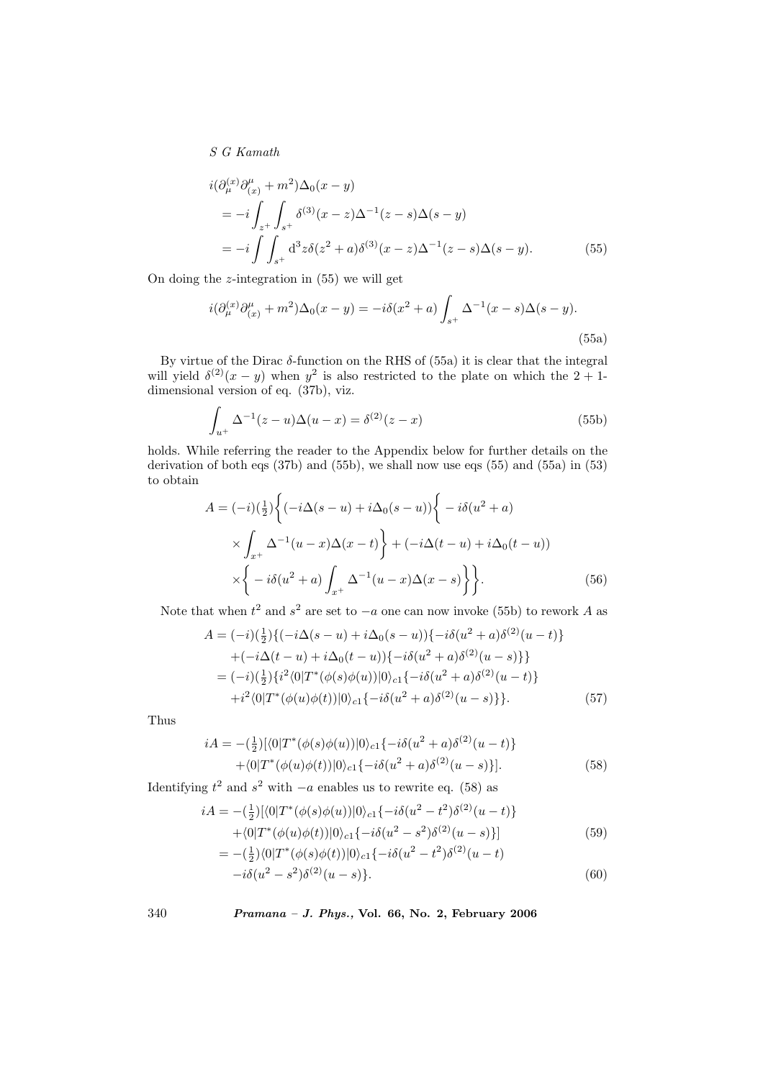$$
i(\partial_{\mu}^{(x)}\partial_{(x)}^{\mu} + m^{2})\Delta_{0}(x - y)
$$
  
= 
$$
-i \int_{z^{+}} \int_{s^{+}} \delta^{(3)}(x - z) \Delta^{-1}(z - s) \Delta(s - y)
$$
  
= 
$$
-i \int_{s^{+}} d^{3}z \delta(z^{2} + a) \delta^{(3)}(x - z) \Delta^{-1}(z - s) \Delta(s - y).
$$
 (55)

On doing the  $z$ -integration in  $(55)$  we will get

$$
i(\partial_{\mu}^{(x)}\partial_{(x)}^{\mu} + m^2)\Delta_0(x - y) = -i\delta(x^2 + a)\int_{s^+} \Delta^{-1}(x - s)\Delta(s - y).
$$
\n(55a)

By virtue of the Dirac  $\delta$ -function on the RHS of (55a) it is clear that the integral will yield  $\delta^{(2)}(x-y)$  when  $y^2$  is also restricted to the plate on which the 2 + 1dimensional version of eq. (37b), viz.

$$
\int_{u^{+}} \Delta^{-1}(z - u)\Delta(u - x) = \delta^{(2)}(z - x)
$$
\n(55b)

holds. While referring the reader to the Appendix below for further details on the derivation of both eqs (37b) and (55b), we shall now use eqs (55) and (55a) in (53) to obtain ½

$$
A = (-i)\left(\frac{1}{2}\right)\left\{(-i\Delta(s-u) + i\Delta_0(s-u))\right\} - i\delta(u^2 + a)
$$
  
 
$$
\times \int_{x^+} \Delta^{-1}(u-x)\Delta(x-t) + (-i\Delta(t-u) + i\Delta_0(t-u))
$$
  
 
$$
\times \left\{-i\delta(u^2 + a)\int_{x^+} \Delta^{-1}(u-x)\Delta(x-s)\right\}.
$$
 (56)

Note that when  $t^2$  and  $s^2$  are set to  $-a$  one can now invoke (55b) to rework A as

$$
A = (-i)(\frac{1}{2})\{(-i\Delta(s-u) + i\Delta_0(s-u))\} - i\delta(u^2 + a)\delta^{(2)}(u-t)\}+ (-i\Delta(t-u) + i\Delta_0(t-u))\{-i\delta(u^2 + a)\delta^{(2)}(u-s)\}\}= (-i)(\frac{1}{2})\{i^2\langle 0|T^*(\phi(s)\phi(u))|0\rangle_{c1}\{-i\delta(u^2 + a)\delta^{(2)}(u-t)\}+i^2\langle 0|T^*(\phi(u)\phi(t))|0\rangle_{c1}\{-i\delta(u^2 + a)\delta^{(2)}(u-s)\}\}. (57)
$$

Thus

$$
iA = -(\frac{1}{2})[\langle 0|T^*(\phi(s)\phi(u))|0\rangle_{c1}\{-i\delta(u^2+a)\delta^{(2)}(u-t)\}\n+ \langle 0|T^*(\phi(u)\phi(t))|0\rangle_{c1}\{-i\delta(u^2+a)\delta^{(2)}(u-s)\}].
$$
\n(58)

Identifying  $t^2$  and  $s^2$  with  $-a$  enables us to rewrite eq. (58) as

$$
iA = -(\frac{1}{2})[\langle 0|T^*(\phi(s)\phi(u))|0\rangle_{c1}\{-i\delta(u^2 - t^2)\delta^{(2)}(u - t)\}\n+ \langle 0|T^*(\phi(u)\phi(t))|0\rangle_{c1}\{-i\delta(u^2 - s^2)\delta^{(2)}(u - s)\}]\n= -(\frac{1}{2})\langle 0|T^*(\phi(s)\phi(t))|0\rangle_{c1}\{-i\delta(u^2 - t^2)\delta^{(2)}(u - t)\n\tag{59}
$$

$$
-i\delta(u^2 - s^2)\delta^{(2)}(u - s)\}.
$$
\n(60)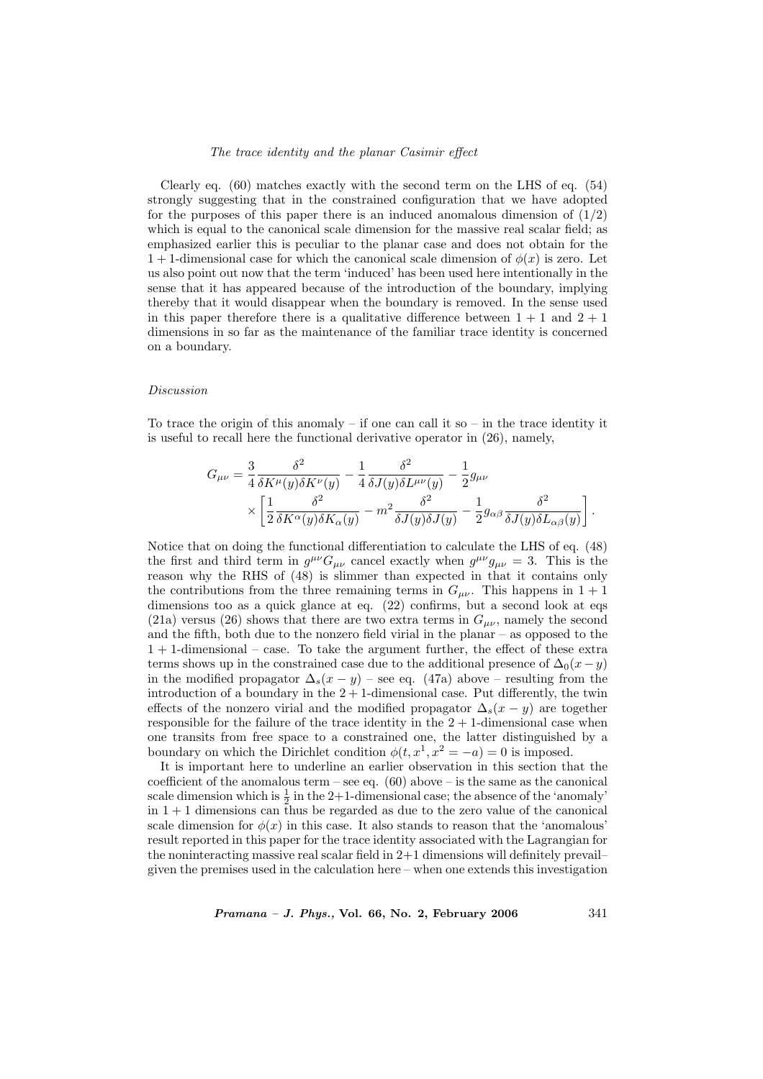Clearly eq. (60) matches exactly with the second term on the LHS of eq. (54) strongly suggesting that in the constrained configuration that we have adopted for the purposes of this paper there is an induced anomalous dimension of  $(1/2)$ which is equal to the canonical scale dimension for the massive real scalar field; as emphasized earlier this is peculiar to the planar case and does not obtain for the 1 + 1-dimensional case for which the canonical scale dimension of  $\phi(x)$  is zero. Let us also point out now that the term 'induced' has been used here intentionally in the sense that it has appeared because of the introduction of the boundary, implying thereby that it would disappear when the boundary is removed. In the sense used in this paper therefore there is a qualitative difference between  $1 + 1$  and  $2 + 1$ dimensions in so far as the maintenance of the familiar trace identity is concerned on a boundary.

#### Discussion

To trace the origin of this anomaly – if one can call it so – in the trace identity it is useful to recall here the functional derivative operator in (26), namely,

$$
G_{\mu\nu} = \frac{3}{4} \frac{\delta^2}{\delta K^\mu(y)\delta K^\nu(y)} - \frac{1}{4} \frac{\delta^2}{\delta J(y)\delta L^{\mu\nu}(y)} - \frac{1}{2} g_{\mu\nu}
$$

$$
\times \left[ \frac{1}{2} \frac{\delta^2}{\delta K^\alpha(y)\delta K_\alpha(y)} - m^2 \frac{\delta^2}{\delta J(y)\delta J(y)} - \frac{1}{2} g_{\alpha\beta} \frac{\delta^2}{\delta J(y)\delta L_{\alpha\beta}(y)} \right].
$$

Notice that on doing the functional differentiation to calculate the LHS of eq. (48) the first and third term in  $g^{\mu\nu}G_{\mu\nu}$  cancel exactly when  $g^{\mu\nu}g_{\mu\nu} = 3$ . This is the reason why the RHS of (48) is slimmer than expected in that it contains only the contributions from the three remaining terms in  $G_{\mu\nu}$ . This happens in  $1+1$ dimensions too as a quick glance at eq.  $(22)$  confirms, but a second look at eqs (21a) versus (26) shows that there are two extra terms in  $G_{\mu\nu}$ , namely the second and the fifth, both due to the nonzero field virial in the planar – as opposed to the 1 + 1-dimensional – case. To take the argument further, the effect of these extra terms shows up in the constrained case due to the additional presence of  $\Delta_0(x - y)$ in the modified propagator  $\Delta_s(x-y)$  – see eq. (47a) above – resulting from the introduction of a boundary in the  $2 + 1$ -dimensional case. Put differently, the twin effects of the nonzero virial and the modified propagator  $\Delta_s(x-y)$  are together responsible for the failure of the trace identity in the  $2 + 1$ -dimensional case when one transits from free space to a constrained one, the latter distinguished by a boundary on which the Dirichlet condition  $\phi(t, x^1, x^2 = -a) = 0$  is imposed.

It is important here to underline an earlier observation in this section that the coefficient of the anomalous term – see eq.  $(60)$  above – is the same as the canonical scale dimension which is  $\frac{1}{2}$  in the 2+1-dimensional case; the absence of the 'anomaly'  $\ln 1 + 1$  dimensions can thus be regarded as due to the zero value of the canonical scale dimension for  $\phi(x)$  in this case. It also stands to reason that the 'anomalous' result reported in this paper for the trace identity associated with the Lagrangian for the noninteracting massive real scalar field in  $2+1$  dimensions will definitely prevail– given the premises used in the calculation here – when one extends this investigation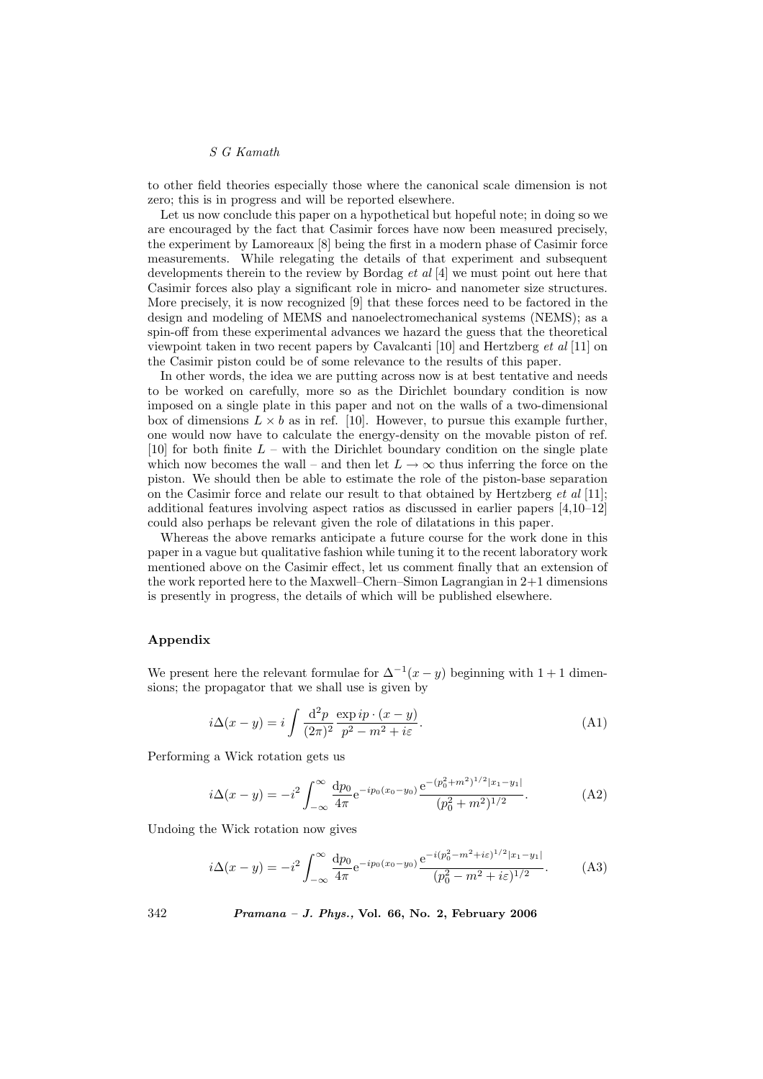to other field theories especially those where the canonical scale dimension is not zero; this is in progress and will be reported elsewhere.

Let us now conclude this paper on a hypothetical but hopeful note; in doing so we are encouraged by the fact that Casimir forces have now been measured precisely, the experiment by Lamoreaux [8] being the first in a modern phase of Casimir force measurements. While relegating the details of that experiment and subsequent developments therein to the review by Bordag et al [4] we must point out here that Casimir forces also play a significant role in micro- and nanometer size structures. More precisely, it is now recognized [9] that these forces need to be factored in the design and modeling of MEMS and nanoelectromechanical systems (NEMS); as a spin-off from these experimental advances we hazard the guess that the theoretical viewpoint taken in two recent papers by Cavalcanti [10] and Hertzberg et al [11] on the Casimir piston could be of some relevance to the results of this paper.

In other words, the idea we are putting across now is at best tentative and needs to be worked on carefully, more so as the Dirichlet boundary condition is now imposed on a single plate in this paper and not on the walls of a two-dimensional box of dimensions  $L \times b$  as in ref. [10]. However, to pursue this example further, one would now have to calculate the energy-density on the movable piston of ref. [10] for both finite  $L$  – with the Dirichlet boundary condition on the single plate which now becomes the wall – and then let  $L \to \infty$  thus inferring the force on the piston. We should then be able to estimate the role of the piston-base separation on the Casimir force and relate our result to that obtained by Hertzberg et al [11]; additional features involving aspect ratios as discussed in earlier papers [4,10–12] could also perhaps be relevant given the role of dilatations in this paper.

Whereas the above remarks anticipate a future course for the work done in this paper in a vague but qualitative fashion while tuning it to the recent laboratory work mentioned above on the Casimir effect, let us comment finally that an extension of the work reported here to the Maxwell–Chern–Simon Lagrangian in 2+1 dimensions is presently in progress, the details of which will be published elsewhere.

## Appendix

We present here the relevant formulae for  $\Delta^{-1}(x-y)$  beginning with 1 + 1 dimensions; the propagator that we shall use is given by

$$
i\Delta(x-y) = i \int \frac{\mathrm{d}^2 p}{(2\pi)^2} \frac{\exp i p \cdot (x-y)}{p^2 - m^2 + i\varepsilon}.
$$
 (A1)

Performing a Wick rotation gets us

$$
i\Delta(x-y) = -i^2 \int_{-\infty}^{\infty} \frac{dp_0}{4\pi} e^{-ip_0(x_0-y_0)} \frac{e^{-(p_0^2 + m^2)^{1/2}|x_1-y_1|}}{(p_0^2 + m^2)^{1/2}}.
$$
 (A2)

Undoing the Wick rotation now gives

$$
i\Delta(x-y) = -i^2 \int_{-\infty}^{\infty} \frac{dp_0}{4\pi} e^{-ip_0(x_0-y_0)} \frac{e^{-i(p_0^2 - m^2 + i\varepsilon)^{1/2}|x_1-y_1|}}{(p_0^2 - m^2 + i\varepsilon)^{1/2}}.
$$
 (A3)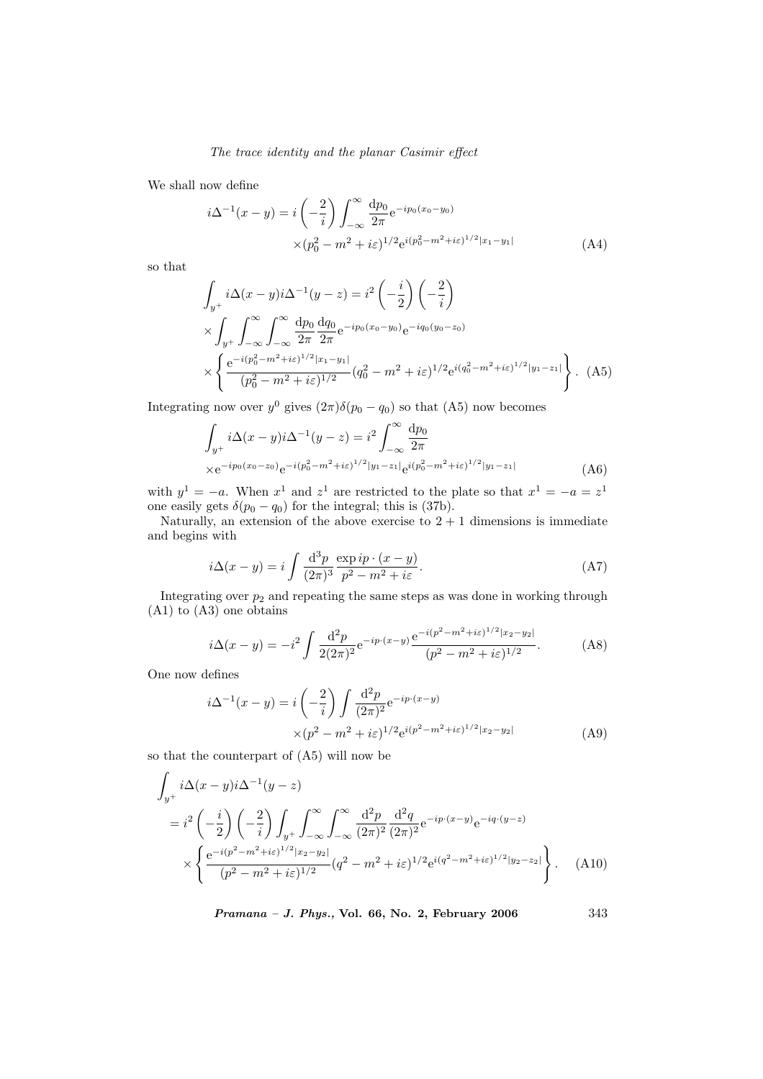We shall now define

$$
i\Delta^{-1}(x-y) = i\left(-\frac{2}{i}\right) \int_{-\infty}^{\infty} \frac{dp_0}{2\pi} e^{-ip_0(x_0-y_0)} \times (p_0^2 - m^2 + i\varepsilon)^{1/2} e^{i(p_0^2 - m^2 + i\varepsilon)^{1/2}|x_1-y_1|}
$$
(A4)

so that

$$
\int_{y^{+}} i\Delta(x-y)i\Delta^{-1}(y-z) = i^{2}\left(-\frac{i}{2}\right)\left(-\frac{2}{i}\right)
$$
\n
$$
\times \int_{y^{+}} \int_{-\infty}^{\infty} \int_{-\infty}^{\infty} \frac{dp_{0}}{2\pi} \frac{dq_{0}}{2\pi} e^{-ip_{0}(x_{0}-y_{0})} e^{-iq_{0}(y_{0}-z_{0})}
$$
\n
$$
\times \left\{ \frac{e^{-i(p_{0}^{2}-m^{2}+i\varepsilon)^{1/2}|x_{1}-y_{1}|}}{(p_{0}^{2}-m^{2}+i\varepsilon)^{1/2}} (q_{0}^{2}-m^{2}+i\varepsilon)^{1/2} e^{i(q_{0}^{2}-m^{2}+i\varepsilon)^{1/2}|y_{1}-z_{1}|} \right\}.
$$
\n(A5)

Integrating now over  $y^0$  gives  $(2\pi)\delta(p_0 - q_0)$  so that  $(A5)$  now becomes

$$
\int_{y^{+}} i\Delta(x-y)i\Delta^{-1}(y-z) = i^{2} \int_{-\infty}^{\infty} \frac{dp_{0}}{2\pi}
$$
\n
$$
\times e^{-ip_{0}(x_{0}-z_{0})}e^{-i(p_{0}^{2}-m^{2}+i\varepsilon)^{1/2}|y_{1}-z_{1}|}e^{i(p_{0}^{2}-m^{2}+i\varepsilon)^{1/2}|y_{1}-z_{1}|}
$$
\n(A6)

with  $y^1 = -a$ . When  $x^1$  and  $z^1$  are restricted to the plate so that  $x^1 = -a = z^1$ one easily gets  $\delta(p_0 - q_0)$  for the integral; this is (37b).

Naturally, an extension of the above exercise to  $2 + 1$  dimensions is immediate and begins with

$$
i\Delta(x-y) = i \int \frac{\mathrm{d}^3 p}{(2\pi)^3} \frac{\exp i p \cdot (x-y)}{p^2 - m^2 + i\varepsilon}.
$$
 (A7)

Integrating over  $p_2$  and repeating the same steps as was done in working through (A1) to (A3) one obtains

$$
i\Delta(x-y) = -i^2 \int \frac{\mathrm{d}^2 p}{2(2\pi)^2} e^{-ip \cdot (x-y)} \frac{e^{-i(p^2 - m^2 + i\varepsilon)^{1/2}|x_2 - y_2|}}{(p^2 - m^2 + i\varepsilon)^{1/2}}.
$$
 (A8)

One now defines

$$
i\Delta^{-1}(x-y) = i\left(-\frac{2}{i}\right) \int \frac{\mathrm{d}^2 p}{(2\pi)^2} e^{-ip \cdot (x-y)} \times (p^2 - m^2 + i\varepsilon)^{1/2} e^{i(p^2 - m^2 + i\varepsilon)^{1/2} |x_2 - y_2|}
$$
(A9)

so that the counterpart of (A5) will now be

$$
\int_{y^{+}} i\Delta(x-y)i\Delta^{-1}(y-z)
$$
\n
$$
= i^{2} \left(-\frac{i}{2}\right) \left(-\frac{2}{i}\right) \int_{y^{+}} \int_{-\infty}^{\infty} \int_{-\infty}^{\infty} \frac{d^{2}p}{(2\pi)^{2}} \frac{d^{2}q}{(2\pi)^{2}} e^{-ip \cdot (x-y)} e^{-iq \cdot (y-z)}
$$
\n
$$
\times \left\{ \frac{e^{-i(p^{2}-m^{2}+i\varepsilon)^{1/2}|x_{2}-y_{2}|}}{(p^{2}-m^{2}+i\varepsilon)^{1/2}} (q^{2}-m^{2}+i\varepsilon)^{1/2} e^{i(q^{2}-m^{2}+i\varepsilon)^{1/2}|y_{2}-z_{2}|} \right\}.
$$
\n(A10)